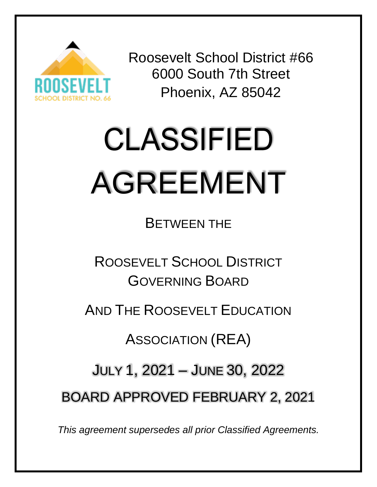

Roosevelt School District #66 6000 South 7th Street Phoenix, AZ 85042

# **CLASSIFIED** AGREEMENT

BETWEEN THE

ROOSEVELT SCHOOL DISTRICT GOVERNING BOARD

AND THE ROOSEVELT EDUCATION

ASSOCIATION (REA)

JULY 1, 2021 – JUNE 30, 2022

BOARD APPROVED FEBRUARY 2, 2021

*This agreement supersedes all prior Classified Agreements.*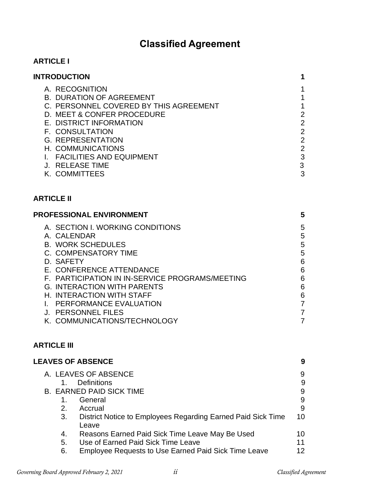# **Classified Agreement**

# **ARTICLE I**

| <b>INTRODUCTION</b>                                                                                                                                                                                                                                                                                                                                   | 1                                                                                                                      |
|-------------------------------------------------------------------------------------------------------------------------------------------------------------------------------------------------------------------------------------------------------------------------------------------------------------------------------------------------------|------------------------------------------------------------------------------------------------------------------------|
| A. RECOGNITION<br><b>B. DURATION OF AGREEMENT</b><br>C. PERSONNEL COVERED BY THIS AGREEMENT<br>D. MEET & CONFER PROCEDURE<br>E. DISTRICT INFORMATION<br><b>F. CONSULTATION</b><br><b>G. REPRESENTATION</b><br>H. COMMUNICATIONS<br>I. FACILITIES AND EQUIPMENT<br><b>J. RELEASE TIME</b><br>K. COMMITTEES                                             | 1<br>$\mathbf{1}$<br>$\mathbf 1$<br>$\overline{2}$<br>$\overline{2}$<br>$\frac{2}{2}$<br>$\overline{2}$<br>3<br>3<br>3 |
| <b>ARTICLE II</b>                                                                                                                                                                                                                                                                                                                                     |                                                                                                                        |
| <b>PROFESSIONAL ENVIRONMENT</b>                                                                                                                                                                                                                                                                                                                       | 5                                                                                                                      |
| A. SECTION I. WORKING CONDITIONS<br>A. CALENDAR<br><b>B. WORK SCHEDULES</b><br>C. COMPENSATORY TIME<br>D. SAFETY<br>E. CONFERENCE ATTENDANCE<br>F. PARTICIPATION IN IN-SERVICE PROGRAMS/MEETING<br><b>G. INTERACTION WITH PARENTS</b><br>H. INTERACTION WITH STAFF<br>I. PERFORMANCE EVALUATION<br>J. PERSONNEL FILES<br>K. COMMUNICATIONS/TECHNOLOGY | 5<br>5<br>5<br>5<br>6<br>6<br>6<br>6<br>6<br>$\overline{7}$<br>$\overline{7}$<br>$\overline{7}$                        |
| <b>ARTICLE III</b>                                                                                                                                                                                                                                                                                                                                    |                                                                                                                        |
| <b>LEAVES OF ABSENCE</b>                                                                                                                                                                                                                                                                                                                              | 9                                                                                                                      |

|    | A. LEAVES OF ABSENCE                                         | 9  |
|----|--------------------------------------------------------------|----|
|    | <b>Definitions</b>                                           | 9  |
|    | <b>B. EARNED PAID SICK TIME</b>                              | 9  |
|    | General                                                      | 9  |
| 2. | Accrual                                                      | 9  |
| 3. | District Notice to Employees Regarding Earned Paid Sick Time | 10 |
|    | Leave                                                        |    |
| 4. | Reasons Earned Paid Sick Time Leave May Be Used              | 10 |
| 5. | Use of Earned Paid Sick Time Leave                           | 11 |
| 6. | <b>Employee Requests to Use Earned Paid Sick Time Leave</b>  | 12 |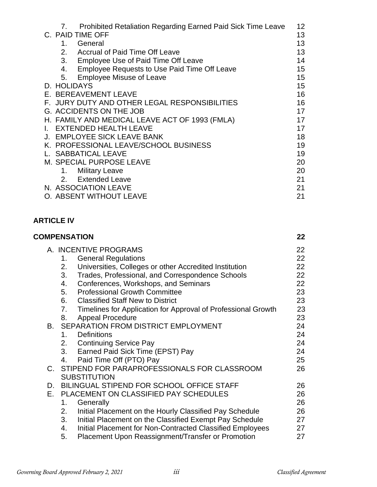| Prohibited Retaliation Regarding Earned Paid Sick Time Leave<br>7. | 12 <sub>2</sub> |
|--------------------------------------------------------------------|-----------------|
| C. PAID TIME OFF                                                   | 13              |
| General<br>$1_{-}$                                                 | 13              |
| 2.<br>Accrual of Paid Time Off Leave                               | 13              |
| 3.<br>Employee Use of Paid Time Off Leave                          | 14              |
| Employee Requests to Use Paid Time Off Leave<br>4.                 | 15              |
| <b>Employee Misuse of Leave</b><br>5.                              | 15              |
| D. HOLIDAYS                                                        | 15              |
| E. BEREAVEMENT LEAVE                                               | 16              |
| F. JURY DUTY AND OTHER LEGAL RESPONSIBILITIES                      | 16              |
| <b>G. ACCIDENTS ON THE JOB</b>                                     | 17              |
| H. FAMILY AND MEDICAL LEAVE ACT OF 1993 (FMLA)                     | 17              |
| <b>EXTENDED HEALTH LEAVE</b>                                       | 17              |
| J. EMPLOYEE SICK LEAVE BANK                                        | 18              |
| K. PROFESSIONAL LEAVE/SCHOOL BUSINESS                              | 19              |
| L. SABBATICAL LEAVE                                                | 19              |
| M. SPECIAL PURPOSE LEAVE                                           | 20              |
| <b>Military Leave</b><br>1.                                        | 20              |
| 2. Extended Leave                                                  | 21              |
| N. ASSOCIATION LEAVE                                               | 21              |
| O. ABSENT WITHOUT LEAVE                                            | 21              |

# **ARTICLE IV**

|    | <b>COMPENSATION</b>                                                 | $22 \,$ |
|----|---------------------------------------------------------------------|---------|
|    | A. INCENTIVE PROGRAMS                                               | 22      |
|    | <b>General Regulations</b><br>1.                                    | 22      |
|    | Universities, Colleges or other Accredited Institution<br>2.        | 22      |
|    | 3.<br>Trades, Professional, and Correspondence Schools              | 22      |
|    | Conferences, Workshops, and Seminars<br>4.                          | 22      |
|    | <b>Professional Growth Committee</b><br>5.                          | 23      |
|    | 6. Classified Staff New to District                                 | 23      |
|    | 7.<br>Timelines for Application for Approval of Professional Growth | 23      |
|    | <b>Appeal Procedure</b><br>8.                                       | 23      |
|    | <b>B. SEPARATION FROM DISTRICT EMPLOYMENT</b>                       | 24      |
|    | <b>Definitions</b><br>$1_{-}$                                       | 24      |
|    | 2.<br><b>Continuing Service Pay</b>                                 | 24      |
|    | 3. Earned Paid Sick Time (EPST) Pay                                 | 24      |
|    | Paid Time Off (PTO) Pay<br>4.                                       | 25      |
|    | C. STIPEND FOR PARAPROFESSIONALS FOR CLASSROOM                      | 26      |
|    | <b>SUBSTITUTION</b>                                                 |         |
| D. | BILINGUAL STIPEND FOR SCHOOL OFFICE STAFF                           | 26      |
| E. | PLACEMENT ON CLASSIFIED PAY SCHEDULES                               | 26      |
|    | 1.<br>Generally                                                     | 26      |
|    | Initial Placement on the Hourly Classified Pay Schedule<br>2.       | 26      |
|    | Initial Placement on the Classified Exempt Pay Schedule<br>3.       | 27      |
|    | Initial Placement for Non-Contracted Classified Employees<br>4.     | 27      |
|    | 5.<br>Placement Upon Reassignment/Transfer or Promotion             | 27      |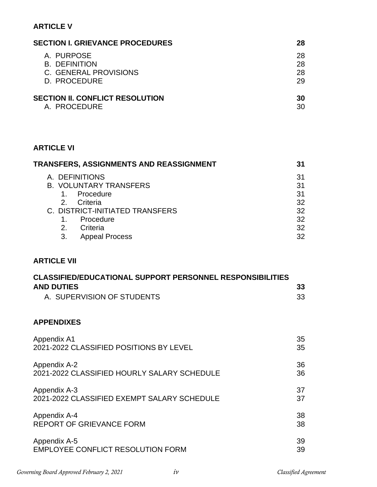# **ARTICLE V**

| <b>SECTION I. GRIEVANCE PROCEDURES</b> | 28 |
|----------------------------------------|----|
| A. PURPOSE                             | 28 |
| <b>B. DEFINITION</b>                   | 28 |
| C. GENERAL PROVISIONS                  | 28 |
| D. PROCEDURE                           | 29 |
| <b>SECTION II. CONFLICT RESOLUTION</b> | 30 |
| A. PROCEDURE                           | 30 |

# **ARTICLE VI**

| TRANSFERS, ASSIGNMENTS AND REASSIGNMENT |    |
|-----------------------------------------|----|
| A. DEFINITIONS                          | 31 |
| <b>B. VOLUNTARY TRANSFERS</b>           | 31 |
| Procedure                               | 31 |
| Criteria<br>2 <sup>1</sup>              | 32 |
| C. DISTRICT-INITIATED TRANSFERS         | 32 |
| Procedure                               | 32 |
| Criteria<br>$2_{-}$                     | 32 |
| <b>Appeal Process</b><br>3.             | 32 |

# **ARTICLE VII**

| <b>CLASSIFIED/EDUCATIONAL SUPPORT PERSONNEL RESPONSIBILITIES</b> |     |
|------------------------------------------------------------------|-----|
| <b>AND DUTIES</b>                                                | 33  |
| A. SUPERVISION OF STUDENTS                                       | -33 |

# **APPENDIXES**

| Appendix A1                                 | 35 |
|---------------------------------------------|----|
| 2021-2022 CLASSIFIED POSITIONS BY LEVEL     | 35 |
| Appendix A-2                                | 36 |
| 2021-2022 CLASSIFIED HOURLY SALARY SCHEDULE | 36 |
| Appendix A-3                                | 37 |
| 2021-2022 CLASSIFIED EXEMPT SALARY SCHEDULE | 37 |
| Appendix A-4                                | 38 |
| <b>REPORT OF GRIEVANCE FORM</b>             | 38 |
| Appendix A-5                                | 39 |
| <b>EMPLOYEE CONFLICT RESOLUTION FORM</b>    | 39 |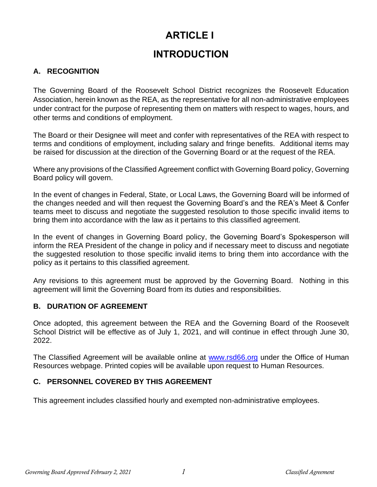# **ARTICLE I**

# **INTRODUCTION**

# **A. RECOGNITION**

The Governing Board of the Roosevelt School District recognizes the Roosevelt Education Association, herein known as the REA, as the representative for all non-administrative employees under contract for the purpose of representing them on matters with respect to wages, hours, and other terms and conditions of employment.

The Board or their Designee will meet and confer with representatives of the REA with respect to terms and conditions of employment, including salary and fringe benefits. Additional items may be raised for discussion at the direction of the Governing Board or at the request of the REA.

Where any provisions of the Classified Agreement conflict with Governing Board policy, Governing Board policy will govern.

In the event of changes in Federal, State, or Local Laws, the Governing Board will be informed of the changes needed and will then request the Governing Board's and the REA's Meet & Confer teams meet to discuss and negotiate the suggested resolution to those specific invalid items to bring them into accordance with the law as it pertains to this classified agreement.

In the event of changes in Governing Board policy, the Governing Board's Spokesperson will inform the REA President of the change in policy and if necessary meet to discuss and negotiate the suggested resolution to those specific invalid items to bring them into accordance with the policy as it pertains to this classified agreement.

Any revisions to this agreement must be approved by the Governing Board. Nothing in this agreement will limit the Governing Board from its duties and responsibilities.

# **B. DURATION OF AGREEMENT**

Once adopted, this agreement between the REA and the Governing Board of the Roosevelt School District will be effective as of July 1, 2021, and will continue in effect through June 30, 2022.

The Classified Agreement will be available online at [www.rsd66.org](http://www.rsd66.org/) under the Office of Human Resources webpage. Printed copies will be available upon request to Human Resources.

# **C. PERSONNEL COVERED BY THIS AGREEMENT**

This agreement includes classified hourly and exempted non-administrative employees.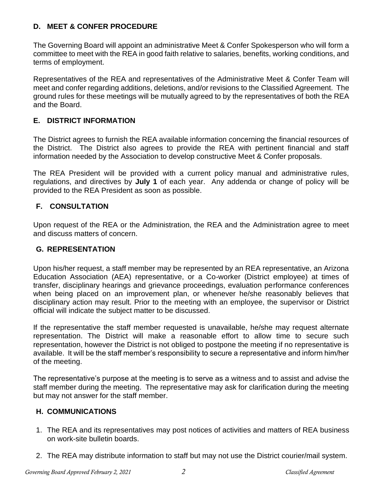# **D. MEET & CONFER PROCEDURE**

The Governing Board will appoint an administrative Meet & Confer Spokesperson who will form a committee to meet with the REA in good faith relative to salaries, benefits, working conditions, and terms of employment.

Representatives of the REA and representatives of the Administrative Meet & Confer Team will meet and confer regarding additions, deletions, and/or revisions to the Classified Agreement. The ground rules for these meetings will be mutually agreed to by the representatives of both the REA and the Board.

# **E. DISTRICT INFORMATION**

The District agrees to furnish the REA available information concerning the financial resources of the District. The District also agrees to provide the REA with pertinent financial and staff information needed by the Association to develop constructive Meet & Confer proposals.

The REA President will be provided with a current policy manual and administrative rules, regulations, and directives by **July 1** of each year. Any addenda or change of policy will be provided to the REA President as soon as possible.

# **F. CONSULTATION**

Upon request of the REA or the Administration, the REA and the Administration agree to meet and discuss matters of concern.

# **G. REPRESENTATION**

Upon his/her request, a staff member may be represented by an REA representative, an Arizona Education Association (AEA) representative, or a Co-worker (District employee) at times of transfer, disciplinary hearings and grievance proceedings, evaluation performance conferences when being placed on an improvement plan, or whenever he/she reasonably believes that disciplinary action may result. Prior to the meeting with an employee, the supervisor or District official will indicate the subject matter to be discussed.

If the representative the staff member requested is unavailable, he/she may request alternate representation. The District will make a reasonable effort to allow time to secure such representation, however the District is not obliged to postpone the meeting if no representative is available. It will be the staff member's responsibility to secure a representative and inform him/her of the meeting.

The representative's purpose at the meeting is to serve as a witness and to assist and advise the staff member during the meeting. The representative may ask for clarification during the meeting but may not answer for the staff member.

# **H. COMMUNICATIONS**

- 1. The REA and its representatives may post notices of activities and matters of REA business on work-site bulletin boards.
- 2. The REA may distribute information to staff but may not use the District courier/mail system.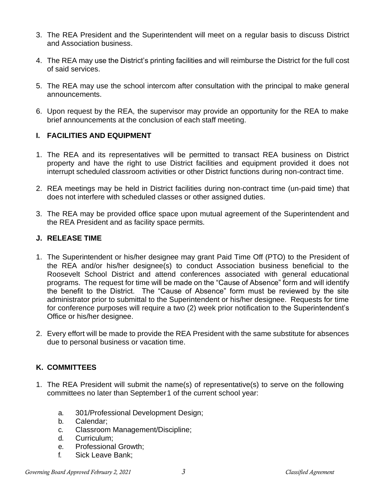- 3. The REA President and the Superintendent will meet on a regular basis to discuss District and Association business.
- 4. The REA may use the District's printing facilities and will reimburse the District for the full cost of said services.
- 5. The REA may use the school intercom after consultation with the principal to make general announcements.
- 6. Upon request by the REA, the supervisor may provide an opportunity for the REA to make brief announcements at the conclusion of each staff meeting.

#### **I. FACILITIES AND EQUIPMENT**

- 1. The REA and its representatives will be permitted to transact REA business on District property and have the right to use District facilities and equipment provided it does not interrupt scheduled classroom activities or other District functions during non-contract time.
- 2. REA meetings may be held in District facilities during non-contract time (un-paid time) that does not interfere with scheduled classes or other assigned duties.
- 3. The REA may be provided office space upon mutual agreement of the Superintendent and the REA President and as facility space permits.

#### **J. RELEASE TIME**

- 1. The Superintendent or his/her designee may grant Paid Time Off (PTO) to the President of the REA and/or his/her designee(s) to conduct Association business beneficial to the Roosevelt School District and attend conferences associated with general educational programs. The request for time will be made on the "Cause of Absence" form and will identify the benefit to the District. The "Cause of Absence" form must be reviewed by the site administrator prior to submittal to the Superintendent or his/her designee. Requests for time for conference purposes will require a two (2) week prior notification to the Superintendent's Office or his/her designee.
- 2. Every effort will be made to provide the REA President with the same substitute for absences due to personal business or vacation time.

# **K. COMMITTEES**

- 1. The REA President will submit the name(s) of representative(s) to serve on the following committees no later than September1 of the current school year:
	- a. 301/Professional Development Design;
	- b. Calendar;
	- c. Classroom Management/Discipline;
	- d. Curriculum;
	- e. Professional Growth;
	- f. Sick Leave Bank;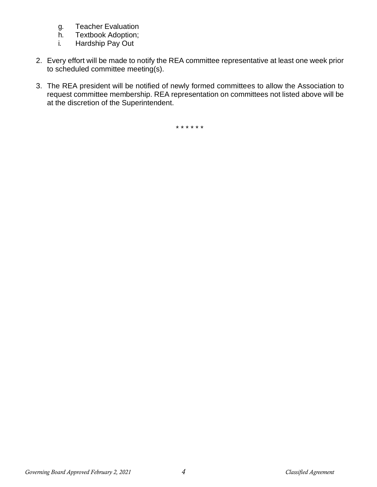- g. Teacher Evaluation
- h. Textbook Adoption;
- i. Hardship Pay Out
- 2. Every effort will be made to notify the REA committee representative at least one week prior to scheduled committee meeting(s).
- 3. The REA president will be notified of newly formed committees to allow the Association to request committee membership. REA representation on committees not listed above will be at the discretion of the Superintendent.

\* \* \* \* \* \*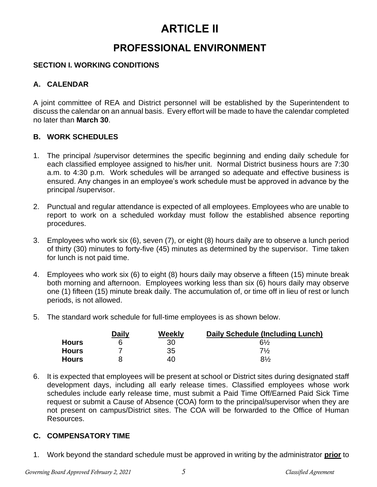# **ARTICLE II**

# **PROFESSIONAL ENVIRONMENT**

# **SECTION I. WORKING CONDITIONS**

# **A. CALENDAR**

A joint committee of REA and District personnel will be established by the Superintendent to discuss the calendar on an annual basis. Every effort will be made to have the calendar completed no later than **March 30**.

# **B. WORK SCHEDULES**

- 1. The principal /supervisor determines the specific beginning and ending daily schedule for each classified employee assigned to his/her unit. Normal District business hours are 7:30 a.m. to 4:30 p.m. Work schedules will be arranged so adequate and effective business is ensured. Any changes in an employee's work schedule must be approved in advance by the principal /supervisor.
- 2. Punctual and regular attendance is expected of all employees. Employees who are unable to report to work on a scheduled workday must follow the established absence reporting procedures.
- 3. Employees who work six (6), seven (7), or eight (8) hours daily are to observe a lunch period of thirty (30) minutes to forty-five (45) minutes as determined by the supervisor. Time taken for lunch is not paid time.
- 4. Employees who work six (6) to eight (8) hours daily may observe a fifteen (15) minute break both morning and afternoon. Employees working less than six (6) hours daily may observe one (1) fifteen (15) minute break daily. The accumulation of, or time off in lieu of rest or lunch periods, is not allowed.
- 5. The standard work schedule for full-time employees is as shown below.

|              | Daily | Weekly | Daily Schedule (Including Lunch) |
|--------------|-------|--------|----------------------------------|
| <b>Hours</b> |       | 30     | 6½                               |
| <b>Hours</b> |       | 35     | $7\frac{1}{2}$                   |
| Hours        |       | 40     | $8\%$                            |

6. It is expected that employees will be present at school or District sites during designated staff development days, including all early release times. Classified employees whose work schedules include early release time, must submit a Paid Time Off/Earned Paid Sick Time request or submit a Cause of Absence (COA) form to the principal/supervisor when they are not present on campus/District sites. The COA will be forwarded to the Office of Human Resources.

# **C. COMPENSATORY TIME**

1. Work beyond the standard schedule must be approved in writing by the administrator **prior** to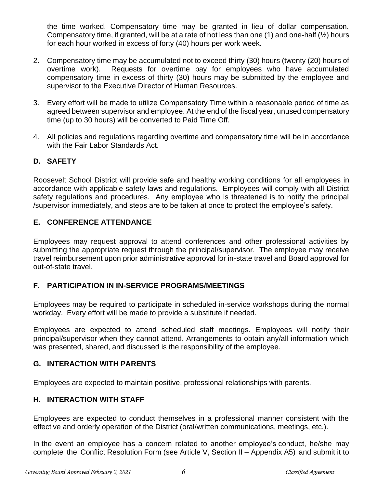the time worked. Compensatory time may be granted in lieu of dollar compensation. Compensatory time, if granted, will be at a rate of not less than one (1) and one-half (½) hours for each hour worked in excess of forty (40) hours per work week.

- 2. Compensatory time may be accumulated not to exceed thirty (30) hours (twenty (20) hours of overtime work). Requests for overtime pay for employees who have accumulated compensatory time in excess of thirty (30) hours may be submitted by the employee and supervisor to the Executive Director of Human Resources.
- 3. Every effort will be made to utilize Compensatory Time within a reasonable period of time as agreed between supervisor and employee. At the end of the fiscal year, unused compensatory time (up to 30 hours) will be converted to Paid Time Off.
- 4. All policies and regulations regarding overtime and compensatory time will be in accordance with the Fair Labor Standards Act.

# **D. SAFETY**

Roosevelt School District will provide safe and healthy working conditions for all employees in accordance with applicable safety laws and regulations. Employees will comply with all District safety regulations and procedures. Any employee who is threatened is to notify the principal /supervisor immediately, and steps are to be taken at once to protect the employee's safety.

# **E. CONFERENCE ATTENDANCE**

Employees may request approval to attend conferences and other professional activities by submitting the appropriate request through the principal/supervisor. The employee may receive travel reimbursement upon prior administrative approval for in-state travel and Board approval for out-of-state travel.

# **F. PARTICIPATION IN IN-SERVICE PROGRAMS/MEETINGS**

Employees may be required to participate in scheduled in-service workshops during the normal workday. Every effort will be made to provide a substitute if needed.

Employees are expected to attend scheduled staff meetings. Employees will notify their principal/supervisor when they cannot attend. Arrangements to obtain any/all information which was presented, shared, and discussed is the responsibility of the employee.

#### **G. INTERACTION WITH PARENTS**

Employees are expected to maintain positive, professional relationships with parents.

#### **H. INTERACTION WITH STAFF**

Employees are expected to conduct themselves in a professional manner consistent with the effective and orderly operation of the District (oral/written communications, meetings, etc.).

In the event an employee has a concern related to another employee's conduct, he/she may complete the Conflict Resolution Form (see Article V, Section II – Appendix A5) and submit it to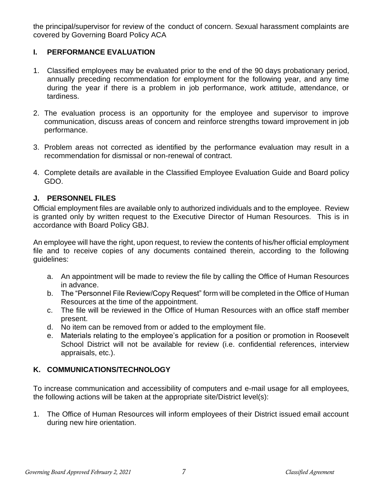the principal/supervisor for review of the conduct of concern. Sexual harassment complaints are covered by Governing Board Policy ACA

# **I. PERFORMANCE EVALUATION**

- 1. Classified employees may be evaluated prior to the end of the 90 days probationary period, annually preceding recommendation for employment for the following year, and any time during the year if there is a problem in job performance, work attitude, attendance, or tardiness.
- 2. The evaluation process is an opportunity for the employee and supervisor to improve communication, discuss areas of concern and reinforce strengths toward improvement in job performance.
- 3. Problem areas not corrected as identified by the performance evaluation may result in a recommendation for dismissal or non-renewal of contract.
- 4. Complete details are available in the Classified Employee Evaluation Guide and Board policy GDO.

# **J. PERSONNEL FILES**

Official employment files are available only to authorized individuals and to the employee. Review is granted only by written request to the Executive Director of Human Resources. This is in accordance with Board Policy GBJ.

An employee will have the right, upon request, to review the contents of his/her official employment file and to receive copies of any documents contained therein, according to the following guidelines:

- a. An appointment will be made to review the file by calling the Office of Human Resources in advance.
- b. The "Personnel File Review/Copy Request" form will be completed in the Office of Human Resources at the time of the appointment.
- c. The file will be reviewed in the Office of Human Resources with an office staff member present.
- d. No item can be removed from or added to the employment file.
- e. Materials relating to the employee's application for a position or promotion in Roosevelt School District will not be available for review (i.e. confidential references, interview appraisals, etc.).

# **K. COMMUNICATIONS/TECHNOLOGY**

To increase communication and accessibility of computers and e-mail usage for all employees, the following actions will be taken at the appropriate site/District level(s):

1. The Office of Human Resources will inform employees of their District issued email account during new hire orientation.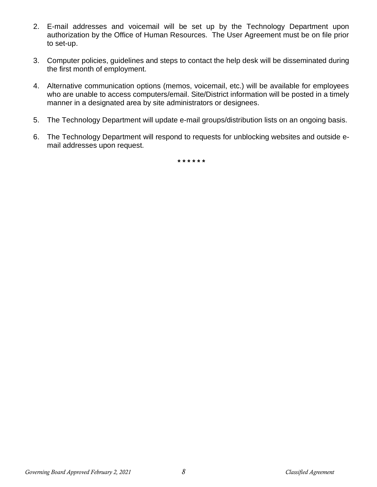- 2. E-mail addresses and voicemail will be set up by the Technology Department upon authorization by the Office of Human Resources. The User Agreement must be on file prior to set-up.
- 3. Computer policies, guidelines and steps to contact the help desk will be disseminated during the first month of employment.
- 4. Alternative communication options (memos, voicemail, etc.) will be available for employees who are unable to access computers/email. Site/District information will be posted in a timely manner in a designated area by site administrators or designees.
- 5. The Technology Department will update e-mail groups/distribution lists on an ongoing basis.
- 6. The Technology Department will respond to requests for unblocking websites and outside email addresses upon request.

*\* \* \* \* \* \**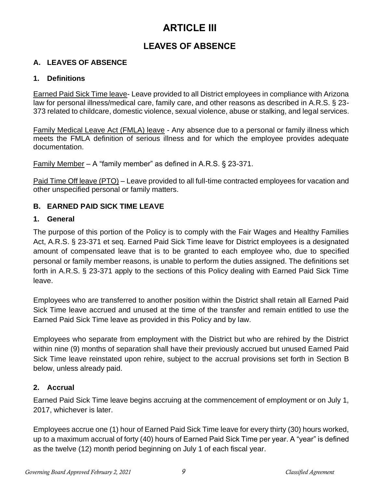# **ARTICLE III**

# **LEAVES OF ABSENCE**

# **A. LEAVES OF ABSENCE**

# **1. Definitions**

Earned Paid Sick Time leave- Leave provided to all District employees in compliance with Arizona law for personal illness/medical care, family care, and other reasons as described in A.R.S. § 23- 373 related to childcare, domestic violence, sexual violence, abuse or stalking, and legal services.

Family Medical Leave Act (FMLA) leave - Any absence due to a personal or family illness which meets the FMLA definition of serious illness and for which the employee provides adequate documentation.

Family Member – A "family member" as defined in A.R.S. § 23-371.

Paid Time Off leave (PTO) – Leave provided to all full-time contracted employees for vacation and other unspecified personal or family matters.

# **B. EARNED PAID SICK TIME LEAVE**

# **1. General**

The purpose of this portion of the Policy is to comply with the Fair Wages and Healthy Families Act, A.R.S. § 23-371 et seq. Earned Paid Sick Time leave for District employees is a designated amount of compensated leave that is to be granted to each employee who, due to specified personal or family member reasons, is unable to perform the duties assigned. The definitions set forth in A.R.S. § 23-371 apply to the sections of this Policy dealing with Earned Paid Sick Time leave.

Employees who are transferred to another position within the District shall retain all Earned Paid Sick Time leave accrued and unused at the time of the transfer and remain entitled to use the Earned Paid Sick Time leave as provided in this Policy and by law.

Employees who separate from employment with the District but who are rehired by the District within nine (9) months of separation shall have their previously accrued but unused Earned Paid Sick Time leave reinstated upon rehire, subject to the accrual provisions set forth in Section B below, unless already paid.

# **2. Accrual**

Earned Paid Sick Time leave begins accruing at the commencement of employment or on July 1, 2017, whichever is later.

Employees accrue one (1) hour of Earned Paid Sick Time leave for every thirty (30) hours worked, up to a maximum accrual of forty (40) hours of Earned Paid Sick Time per year. A "year" is defined as the twelve (12) month period beginning on July 1 of each fiscal year.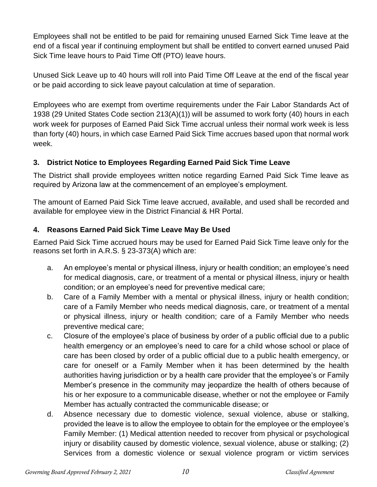Employees shall not be entitled to be paid for remaining unused Earned Sick Time leave at the end of a fiscal year if continuing employment but shall be entitled to convert earned unused Paid Sick Time leave hours to Paid Time Off (PTO) leave hours.

Unused Sick Leave up to 40 hours will roll into Paid Time Off Leave at the end of the fiscal year or be paid according to sick leave payout calculation at time of separation.

Employees who are exempt from overtime requirements under the Fair Labor Standards Act of 1938 (29 United States Code section 213(A)(1)) will be assumed to work forty (40) hours in each work week for purposes of Earned Paid Sick Time accrual unless their normal work week is less than forty (40) hours, in which case Earned Paid Sick Time accrues based upon that normal work week.

# **3. District Notice to Employees Regarding Earned Paid Sick Time Leave**

The District shall provide employees written notice regarding Earned Paid Sick Time leave as required by Arizona law at the commencement of an employee's employment.

The amount of Earned Paid Sick Time leave accrued, available, and used shall be recorded and available for employee view in the District Financial & HR Portal.

# **4. Reasons Earned Paid Sick Time Leave May Be Used**

Earned Paid Sick Time accrued hours may be used for Earned Paid Sick Time leave only for the reasons set forth in A.R.S. § 23-373(A) which are:

- a. An employee's mental or physical illness, injury or health condition; an employee's need for medical diagnosis, care, or treatment of a mental or physical illness, injury or health condition; or an employee's need for preventive medical care;
- b. Care of a Family Member with a mental or physical illness, injury or health condition; care of a Family Member who needs medical diagnosis, care, or treatment of a mental or physical illness, injury or health condition; care of a Family Member who needs preventive medical care;
- c. Closure of the employee's place of business by order of a public official due to a public health emergency or an employee's need to care for a child whose school or place of care has been closed by order of a public official due to a public health emergency, or care for oneself or a Family Member when it has been determined by the health authorities having jurisdiction or by a health care provider that the employee's or Family Member's presence in the community may jeopardize the health of others because of his or her exposure to a communicable disease, whether or not the employee or Family Member has actually contracted the communicable disease; or
- d. Absence necessary due to domestic violence, sexual violence, abuse or stalking, provided the leave is to allow the employee to obtain for the employee or the employee's Family Member: (1) Medical attention needed to recover from physical or psychological injury or disability caused by domestic violence, sexual violence, abuse or stalking; (2) Services from a domestic violence or sexual violence program or victim services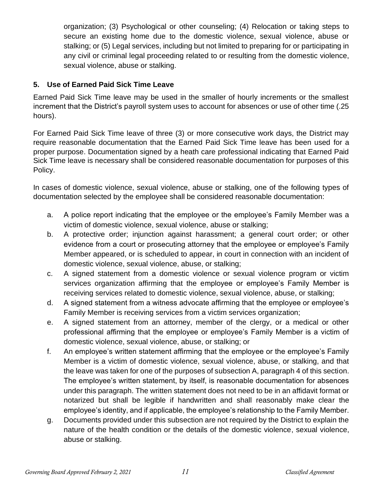organization; (3) Psychological or other counseling; (4) Relocation or taking steps to secure an existing home due to the domestic violence, sexual violence, abuse or stalking; or (5) Legal services, including but not limited to preparing for or participating in any civil or criminal legal proceeding related to or resulting from the domestic violence, sexual violence, abuse or stalking.

# **5. Use of Earned Paid Sick Time Leave**

Earned Paid Sick Time leave may be used in the smaller of hourly increments or the smallest increment that the District's payroll system uses to account for absences or use of other time (.25 hours).

For Earned Paid Sick Time leave of three (3) or more consecutive work days, the District may require reasonable documentation that the Earned Paid Sick Time leave has been used for a proper purpose. Documentation signed by a heath care professional indicating that Earned Paid Sick Time leave is necessary shall be considered reasonable documentation for purposes of this Policy.

In cases of domestic violence, sexual violence, abuse or stalking, one of the following types of documentation selected by the employee shall be considered reasonable documentation:

- a. A police report indicating that the employee or the employee's Family Member was a victim of domestic violence, sexual violence, abuse or stalking;
- b. A protective order; injunction against harassment; a general court order; or other evidence from a court or prosecuting attorney that the employee or employee's Family Member appeared, or is scheduled to appear, in court in connection with an incident of domestic violence, sexual violence, abuse, or stalking;
- c. A signed statement from a domestic violence or sexual violence program or victim services organization affirming that the employee or employee's Family Member is receiving services related to domestic violence, sexual violence, abuse, or stalking;
- d. A signed statement from a witness advocate affirming that the employee or employee's Family Member is receiving services from a victim services organization;
- e. A signed statement from an attorney, member of the clergy, or a medical or other professional affirming that the employee or employee's Family Member is a victim of domestic violence, sexual violence, abuse, or stalking; or
- f. An employee's written statement affirming that the employee or the employee's Family Member is a victim of domestic violence, sexual violence, abuse, or stalking, and that the leave was taken for one of the purposes of subsection A, paragraph 4 of this section. The employee's written statement, by itself, is reasonable documentation for absences under this paragraph. The written statement does not need to be in an affidavit format or notarized but shall be legible if handwritten and shall reasonably make clear the employee's identity, and if applicable, the employee's relationship to the Family Member.
- g. Documents provided under this subsection are not required by the District to explain the nature of the health condition or the details of the domestic violence, sexual violence, abuse or stalking.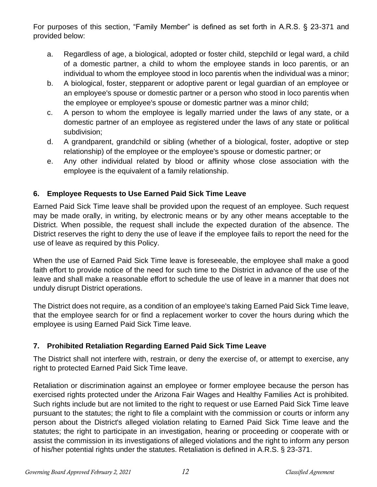For purposes of this section, "Family Member" is defined as set forth in A.R.S. § 23-371 and provided below:

- a. Regardless of age, a biological, adopted or foster child, stepchild or legal ward, a child of a domestic partner, a child to whom the employee stands in loco parentis, or an individual to whom the employee stood in loco parentis when the individual was a minor;
- b. A biological, foster, stepparent or adoptive parent or legal guardian of an employee or an employee's spouse or domestic partner or a person who stood in loco parentis when the employee or employee's spouse or domestic partner was a minor child;
- c. A person to whom the employee is legally married under the laws of any state, or a domestic partner of an employee as registered under the laws of any state or political subdivision;
- d. A grandparent, grandchild or sibling (whether of a biological, foster, adoptive or step relationship) of the employee or the employee's spouse or domestic partner; or
- e. Any other individual related by blood or affinity whose close association with the employee is the equivalent of a family relationship.

# **6. Employee Requests to Use Earned Paid Sick Time Leave**

Earned Paid Sick Time leave shall be provided upon the request of an employee. Such request may be made orally, in writing, by electronic means or by any other means acceptable to the District. When possible, the request shall include the expected duration of the absence. The District reserves the right to deny the use of leave if the employee fails to report the need for the use of leave as required by this Policy.

When the use of Earned Paid Sick Time leave is foreseeable, the employee shall make a good faith effort to provide notice of the need for such time to the District in advance of the use of the leave and shall make a reasonable effort to schedule the use of leave in a manner that does not unduly disrupt District operations.

The District does not require, as a condition of an employee's taking Earned Paid Sick Time leave, that the employee search for or find a replacement worker to cover the hours during which the employee is using Earned Paid Sick Time leave.

# **7. Prohibited Retaliation Regarding Earned Paid Sick Time Leave**

The District shall not interfere with, restrain, or deny the exercise of, or attempt to exercise, any right to protected Earned Paid Sick Time leave.

Retaliation or discrimination against an employee or former employee because the person has exercised rights protected under the Arizona Fair Wages and Healthy Families Act is prohibited. Such rights include but are not limited to the right to request or use Earned Paid Sick Time leave pursuant to the statutes; the right to file a complaint with the commission or courts or inform any person about the District's alleged violation relating to Earned Paid Sick Time leave and the statutes; the right to participate in an investigation, hearing or proceeding or cooperate with or assist the commission in its investigations of alleged violations and the right to inform any person of his/her potential rights under the statutes. Retaliation is defined in A.R.S. § 23-371.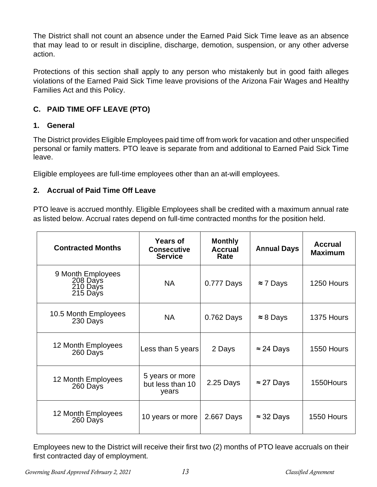The District shall not count an absence under the Earned Paid Sick Time leave as an absence that may lead to or result in discipline, discharge, demotion, suspension, or any other adverse action.

Protections of this section shall apply to any person who mistakenly but in good faith alleges violations of the Earned Paid Sick Time leave provisions of the Arizona Fair Wages and Healthy Families Act and this Policy.

# **C. PAID TIME OFF LEAVE (PTO)**

# **1. General**

The District provides Eligible Employees paid time off from work for vacation and other unspecified personal or family matters. PTO leave is separate from and additional to Earned Paid Sick Time leave.

Eligible employees are full-time employees other than an at-will employees.

# **2. Accrual of Paid Time Off Leave**

PTO leave is accrued monthly. Eligible Employees shall be credited with a maximum annual rate as listed below. Accrual rates depend on full-time contracted months for the position held.

| <b>Contracted Months</b>                              | Years of<br><b>Consecutive</b><br><b>Service</b> | <b>Monthly</b><br><b>Accrual</b><br>Rate | <b>Annual Days</b> | <b>Accrual</b><br><b>Maximum</b> |
|-------------------------------------------------------|--------------------------------------------------|------------------------------------------|--------------------|----------------------------------|
| 9 Month Employees<br>208 Days<br>210 Days<br>215 Days | <b>NA</b>                                        | 0.777 Days                               | $\approx$ 7 Days   | 1250 Hours                       |
| 10.5 Month Employees<br>230 Days                      | <b>NA</b>                                        | 0.762 Days                               | $\approx 8$ Days   | 1375 Hours                       |
| 12 Month Employees<br>260 Days                        | Less than 5 years                                | 2 Days                                   | $\approx$ 24 Days  | 1550 Hours                       |
| 12 Month Employees<br>260 Days                        | 5 years or more<br>but less than 10<br>years     | 2.25 Days                                | $\approx$ 27 Days  | 1550Hours                        |
| 12 Month Employees<br>260 Days                        | 10 years or more                                 | 2.667 Days                               | $\approx$ 32 Days  | 1550 Hours                       |

Employees new to the District will receive their first two (2) months of PTO leave accruals on their first contracted day of employment.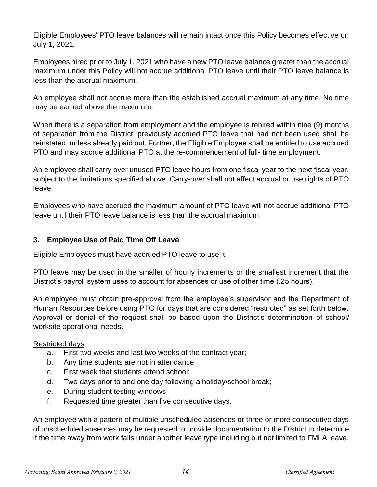Eligible Employees' PTO leave balances will remain intact once this Policy becomes effective on July 1, 2021.

Employees hired prior to July 1, 2021 who have a new PTO leave balance greater than the accrual maximum under this Policy will not accrue additional PTO leave until their PTO leave balance is less than the accrual maximum.

An employee shall not accrue more than the established accrual maximum at any time. No time may be earned above the maximum.

When there is a separation from employment and the employee is rehired within nine (9) months of separation from the District; previously accrued PTO leave that had not been used shall be reinstated, unless already paid out. Further, the Eligible Employee shall be entitled to use accrued PTO and may accrue additional PTO at the re-commencement of full- time employment.

An employee shall carry over unused PTO leave hours from one fiscal year to the next fiscal year, subject to the limitations specified above. Carry-over shall not affect accrual or use rights of PTO leave.

Employees who have accrued the maximum amount of PTO leave will not accrue additional PTO leave until their PTO leave balance is less than the accrual maximum.

# **3. Employee Use of Paid Time Off Leave**

Eligible Employees must have accrued PTO leave to use it.

PTO leave may be used in the smaller of hourly increments or the smallest increment that the District's payroll system uses to account for absences or use of other time (.25 hours).

An employee must obtain pre-approval from the employee's supervisor and the Department of Human Resources before using PTO for days that are considered "restricted" as set forth below. Approval or denial of the request shall be based upon the District's determination of school/ worksite operational needs.

# Restricted days

- a. First two weeks and last two weeks of the contract year;
- b. Any time students are not in attendance;
- c. First week that students attend school;
- d. Two days prior to and one day following a holiday/school break;
- e. During student testing windows;
- f. Requested time greater than five consecutive days.

An employee with a pattern of multiple unscheduled absences or three or more consecutive days of unscheduled absences may be requested to provide documentation to the District to determine if the time away from work falls under another leave type including but not limited to FMLA leave.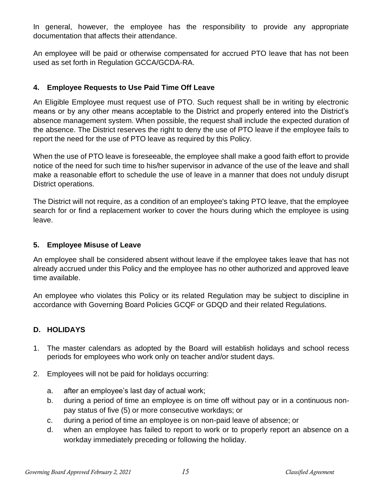In general, however, the employee has the responsibility to provide any appropriate documentation that affects their attendance.

An employee will be paid or otherwise compensated for accrued PTO leave that has not been used as set forth in Regulation GCCA/GCDA-RA.

# **4. Employee Requests to Use Paid Time Off Leave**

An Eligible Employee must request use of PTO. Such request shall be in writing by electronic means or by any other means acceptable to the District and properly entered into the District's absence management system. When possible, the request shall include the expected duration of the absence. The District reserves the right to deny the use of PTO leave if the employee fails to report the need for the use of PTO leave as required by this Policy.

When the use of PTO leave is foreseeable, the employee shall make a good faith effort to provide notice of the need for such time to his/her supervisor in advance of the use of the leave and shall make a reasonable effort to schedule the use of leave in a manner that does not unduly disrupt District operations.

The District will not require, as a condition of an employee's taking PTO leave, that the employee search for or find a replacement worker to cover the hours during which the employee is using leave.

# **5. Employee Misuse of Leave**

An employee shall be considered absent without leave if the employee takes leave that has not already accrued under this Policy and the employee has no other authorized and approved leave time available.

An employee who violates this Policy or its related Regulation may be subject to discipline in accordance with Governing Board Policies GCQF or GDQD and their related Regulations.

# **D. HOLIDAYS**

- 1. The master calendars as adopted by the Board will establish holidays and school recess periods for employees who work only on teacher and/or student days.
- 2. Employees will not be paid for holidays occurring:
	- a. after an employee's last day of actual work;
	- b. during a period of time an employee is on time off without pay or in a continuous nonpay status of five (5) or more consecutive workdays; or
	- c. during a period of time an employee is on non-paid leave of absence; or
	- d. when an employee has failed to report to work or to properly report an absence on a workday immediately preceding or following the holiday.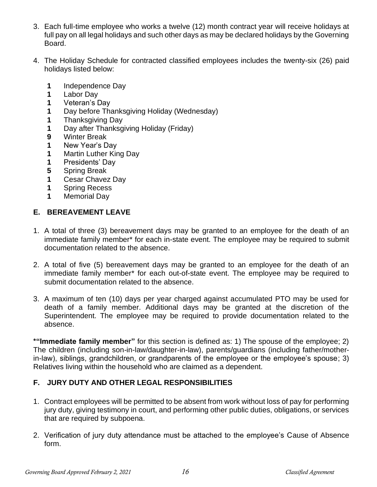- 3. Each full-time employee who works a twelve (12) month contract year will receive holidays at full pay on all legal holidays and such other days as may be declared holidays by the Governing Board.
- 4. The Holiday Schedule for contracted classified employees includes the twenty-six (26) paid holidays listed below:
	- **1** Independence Day
	- **1** Labor Day
	- **1** Veteran's Day
	- **1** Day before Thanksgiving Holiday (Wednesday)
	- **1** Thanksgiving Day
	- **1** Day after Thanksgiving Holiday (Friday)
	- **9** Winter Break
	- **1** New Year's Day
	- **1** Martin Luther King Day
	- **1** Presidents' Day
	- **5** Spring Break
	- **1** Cesar Chavez Day
	- **1** Spring Recess
	- **1** Memorial Day

# **E. BEREAVEMENT LEAVE**

- 1. A total of three (3) bereavement days may be granted to an employee for the death of an immediate family member\* for each in-state event. The employee may be required to submit documentation related to the absence.
- 2. A total of five (5) bereavement days may be granted to an employee for the death of an immediate family member\* for each out-of-state event. The employee may be required to submit documentation related to the absence.
- 3. A maximum of ten (10) days per year charged against accumulated PTO may be used for death of a family member. Additional days may be granted at the discretion of the Superintendent. The employee may be required to provide documentation related to the absence.

**\*"Immediate family member"** for this section is defined as: 1) The spouse of the employee; 2) The children (including son-in-law/daughter-in-law), parents/guardians (including father/motherin-law), siblings, grandchildren, or grandparents of the employee or the employee's spouse; 3) Relatives living within the household who are claimed as a dependent.

# **F. JURY DUTY AND OTHER LEGAL RESPONSIBILITIES**

- 1. Contract employees will be permitted to be absent from work without loss of pay for performing jury duty, giving testimony in court, and performing other public duties, obligations, or services that are required by subpoena.
- 2. Verification of jury duty attendance must be attached to the employee's Cause of Absence form.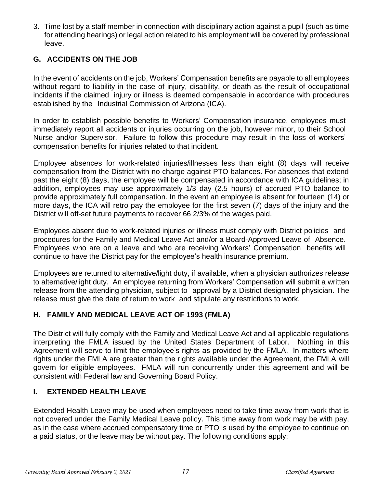3. Time lost by a staff member in connection with disciplinary action against a pupil (such as time for attending hearings) or legal action related to his employment will be covered by professional leave.

# **G. ACCIDENTS ON THE JOB**

In the event of accidents on the job, Workers' Compensation benefits are payable to all employees without regard to liability in the case of injury, disability, or death as the result of occupational incidents if the claimed injury or illness is deemed compensable in accordance with procedures established by the Industrial Commission of Arizona (ICA).

In order to establish possible benefits to Workers' Compensation insurance, employees must immediately report all accidents or injuries occurring on the job, however minor, to their School Nurse and/or Supervisor. Failure to follow this procedure may result in the loss of workers' compensation benefits for injuries related to that incident.

Employee absences for work-related injuries/illnesses less than eight (8) days will receive compensation from the District with no charge against PTO balances. For absences that extend past the eight (8) days, the employee will be compensated in accordance with ICA guidelines; in addition, employees may use approximately 1/3 day (2.5 hours) of accrued PTO balance to provide approximately full compensation. In the event an employee is absent for fourteen (14) or more days, the ICA will retro pay the employee for the first seven (7) days of the injury and the District will off-set future payments to recover 66 2/3% of the wages paid.

Employees absent due to work-related injuries or illness must comply with District policies and procedures for the Family and Medical Leave Act and/or a Board-Approved Leave of Absence. Employees who are on a leave and who are receiving Workers' Compensation benefits will continue to have the District pay for the employee's health insurance premium.

Employees are returned to alternative/light duty, if available, when a physician authorizes release to alternative/light duty. An employee returning from Workers' Compensation will submit a written release from the attending physician, subject to approval by a District designated physician. The release must give the date of return to work and stipulate any restrictions to work.

# **H. FAMILY AND MEDICAL LEAVE ACT OF 1993 (FMLA)**

The District will fully comply with the Family and Medical Leave Act and all applicable regulations interpreting the FMLA issued by the United States Department of Labor. Nothing in this Agreement will serve to limit the employee's rights as provided by the FMLA. In matters where rights under the FMLA are greater than the rights available under the Agreement, the FMLA will govern for eligible employees. FMLA will run concurrently under this agreement and will be consistent with Federal law and Governing Board Policy.

# **I. EXTENDED HEALTH LEAVE**

Extended Health Leave may be used when employees need to take time away from work that is not covered under the Family Medical Leave policy. This time away from work may be with pay, as in the case where accrued compensatory time or PTO is used by the employee to continue on a paid status, or the leave may be without pay. The following conditions apply: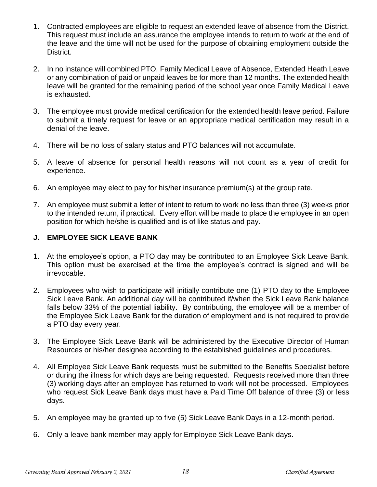- 1. Contracted employees are eligible to request an extended leave of absence from the District. This request must include an assurance the employee intends to return to work at the end of the leave and the time will not be used for the purpose of obtaining employment outside the District.
- 2. In no instance will combined PTO, Family Medical Leave of Absence, Extended Heath Leave or any combination of paid or unpaid leaves be for more than 12 months. The extended health leave will be granted for the remaining period of the school year once Family Medical Leave is exhausted.
- 3. The employee must provide medical certification for the extended health leave period. Failure to submit a timely request for leave or an appropriate medical certification may result in a denial of the leave.
- 4. There will be no loss of salary status and PTO balances will not accumulate.
- 5. A leave of absence for personal health reasons will not count as a year of credit for experience.
- 6. An employee may elect to pay for his/her insurance premium(s) at the group rate.
- 7. An employee must submit a letter of intent to return to work no less than three (3) weeks prior to the intended return, if practical. Every effort will be made to place the employee in an open position for which he/she is qualified and is of like status and pay.

# **J. EMPLOYEE SICK LEAVE BANK**

- 1. At the employee's option, a PTO day may be contributed to an Employee Sick Leave Bank. This option must be exercised at the time the employee's contract is signed and will be irrevocable.
- 2. Employees who wish to participate will initially contribute one (1) PTO day to the Employee Sick Leave Bank. An additional day will be contributed if/when the Sick Leave Bank balance falls below 33% of the potential liability. By contributing, the employee will be a member of the Employee Sick Leave Bank for the duration of employment and is not required to provide a PTO day every year.
- 3. The Employee Sick Leave Bank will be administered by the Executive Director of Human Resources or his/her designee according to the established guidelines and procedures.
- 4. All Employee Sick Leave Bank requests must be submitted to the Benefits Specialist before or during the illness for which days are being requested. Requests received more than three (3) working days after an employee has returned to work will not be processed. Employees who request Sick Leave Bank days must have a Paid Time Off balance of three (3) or less days.
- 5. An employee may be granted up to five (5) Sick Leave Bank Days in a 12-month period.
- 6. Only a leave bank member may apply for Employee Sick Leave Bank days.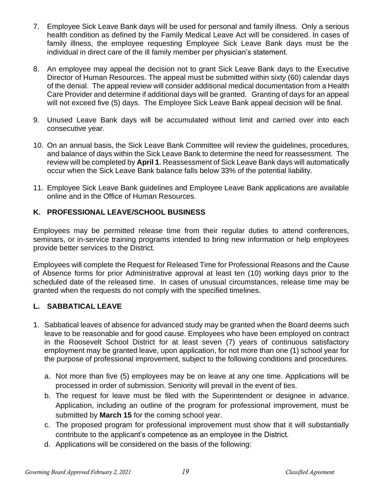- 7. Employee Sick Leave Bank days will be used for personal and family illness. Only a serious health condition as defined by the Family Medical Leave Act will be considered. In cases of family illness, the employee requesting Employee Sick Leave Bank days must be the individual in direct care of the ill family member per physician's statement.
- 8. An employee may appeal the decision not to grant Sick Leave Bank days to the Executive Director of Human Resources. The appeal must be submitted within sixty (60) calendar days of the denial. The appeal review will consider additional medical documentation from a Health Care Provider and determine if additional days will be granted. Granting of days for an appeal will not exceed five (5) days. The Employee Sick Leave Bank appeal decision will be final.
- 9. Unused Leave Bank days will be accumulated without limit and carried over into each consecutive year.
- 10. On an annual basis, the Sick Leave Bank Committee will review the guidelines, procedures, and balance of days within the Sick Leave Bank to determine the need for reassessment. The review will be completed by **April 1**. Reassessment of Sick Leave Bank days will automatically occur when the Sick Leave Bank balance falls below 33% of the potential liability.
- 11. Employee Sick Leave Bank guidelines and Employee Leave Bank applications are available online and in the Office of Human Resources.

# **K. PROFESSIONAL LEAVE/SCHOOL BUSINESS**

Employees may be permitted release time from their regular duties to attend conferences, seminars, or in-service training programs intended to bring new information or help employees provide better services to the District.

Employees will complete the Request for Released Time for Professional Reasons and the Cause of Absence forms for prior Administrative approval at least ten (10) working days prior to the scheduled date of the released time. In cases of unusual circumstances, release time may be granted when the requests do not comply with the specified timelines.

# **L. SABBATICAL LEAVE**

- 1. Sabbatical leaves of absence for advanced study may be granted when the Board deems such leave to be reasonable and for good cause. Employees who have been employed on contract in the Roosevelt School District for at least seven (7) years of continuous satisfactory employment may be granted leave, upon application, for not more than one (1) school year for the purpose of professional improvement, subject to the following conditions and procedures.
	- a. Not more than five (5) employees may be on leave at any one time. Applications will be processed in order of submission. Seniority will prevail in the event of ties.
	- b. The request for leave must be filed with the Superintendent or designee in advance. Application, including an outline of the program for professional improvement, must be submitted by **March 15** for the coming school year.
	- c. The proposed program for professional improvement must show that it will substantially contribute to the applicant's competence as an employee in the District.
	- d. Applications will be considered on the basis of the following: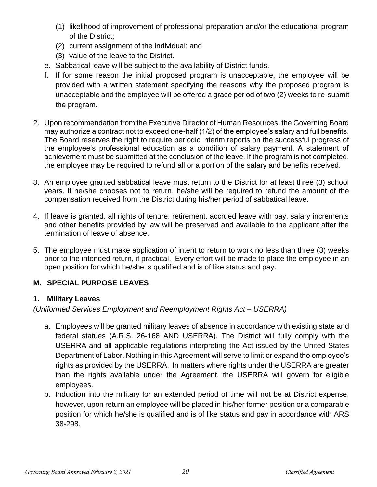- (1) likelihood of improvement of professional preparation and/or the educational program of the District;
- (2) current assignment of the individual; and
- (3) value of the leave to the District.
- e. Sabbatical leave will be subject to the availability of District funds.
- f. If for some reason the initial proposed program is unacceptable, the employee will be provided with a written statement specifying the reasons why the proposed program is unacceptable and the employee will be offered a grace period of two (2) weeks to re-submit the program.
- 2. Upon recommendation from the Executive Director of Human Resources, the Governing Board may authorize a contract not to exceed one-half (1/2) of the employee's salary and full benefits. The Board reserves the right to require periodic interim reports on the successful progress of the employee's professional education as a condition of salary payment. A statement of achievement must be submitted at the conclusion of the leave. If the program is not completed, the employee may be required to refund all or a portion of the salary and benefits received.
- 3. An employee granted sabbatical leave must return to the District for at least three (3) school years. If he/she chooses not to return, he/she will be required to refund the amount of the compensation received from the District during his/her period of sabbatical leave.
- 4. If leave is granted, all rights of tenure, retirement, accrued leave with pay, salary increments and other benefits provided by law will be preserved and available to the applicant after the termination of leave of absence.
- 5. The employee must make application of intent to return to work no less than three (3) weeks prior to the intended return, if practical. Every effort will be made to place the employee in an open position for which he/she is qualified and is of like status and pay.

# **M. SPECIAL PURPOSE LEAVES**

# **1. Military Leaves**

*(Uniformed Services Employment and Reemployment Rights Act – USERRA)*

- a. Employees will be granted military leaves of absence in accordance with existing state and federal statues (A.R.S. 26-168 AND USERRA). The District will fully comply with the USERRA and all applicable regulations interpreting the Act issued by the United States Department of Labor. Nothing in this Agreement will serve to limit or expand the employee's rights as provided by the USERRA. In matters where rights under the USERRA are greater than the rights available under the Agreement, the USERRA will govern for eligible employees.
- b. Induction into the military for an extended period of time will not be at District expense; however, upon return an employee will be placed in his/her former position or a comparable position for which he/she is qualified and is of like status and pay in accordance with ARS 38-298.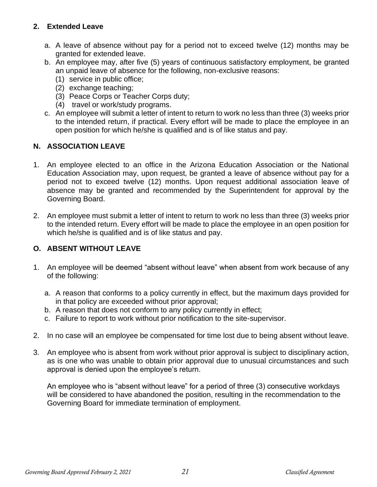# **2. Extended Leave**

- a. A leave of absence without pay for a period not to exceed twelve (12) months may be granted for extended leave.
- b. An employee may, after five (5) years of continuous satisfactory employment, be granted an unpaid leave of absence for the following, non-exclusive reasons:
	- (1) service in public office;
	- (2) exchange teaching;
	- (3) Peace Corps or Teacher Corps duty;
	- (4) travel or work/study programs.
- c. An employee will submit a letter of intent to return to work no less than three (3) weeks prior to the intended return, if practical. Every effort will be made to place the employee in an open position for which he/she is qualified and is of like status and pay.

# **N. ASSOCIATION LEAVE**

- 1. An employee elected to an office in the Arizona Education Association or the National Education Association may, upon request, be granted a leave of absence without pay for a period not to exceed twelve (12) months. Upon request additional association leave of absence may be granted and recommended by the Superintendent for approval by the Governing Board.
- 2. An employee must submit a letter of intent to return to work no less than three (3) weeks prior to the intended return. Every effort will be made to place the employee in an open position for which he/she is qualified and is of like status and pay.

# **O. ABSENT WITHOUT LEAVE**

- 1. An employee will be deemed "absent without leave" when absent from work because of any of the following:
	- a. A reason that conforms to a policy currently in effect, but the maximum days provided for in that policy are exceeded without prior approval;
	- b. A reason that does not conform to any policy currently in effect;
	- c. Failure to report to work without prior notification to the site-supervisor.
- 2. In no case will an employee be compensated for time lost due to being absent without leave.
- 3. An employee who is absent from work without prior approval is subject to disciplinary action, as is one who was unable to obtain prior approval due to unusual circumstances and such approval is denied upon the employee's return.

An employee who is "absent without leave" for a period of three (3) consecutive workdays will be considered to have abandoned the position, resulting in the recommendation to the Governing Board for immediate termination of employment.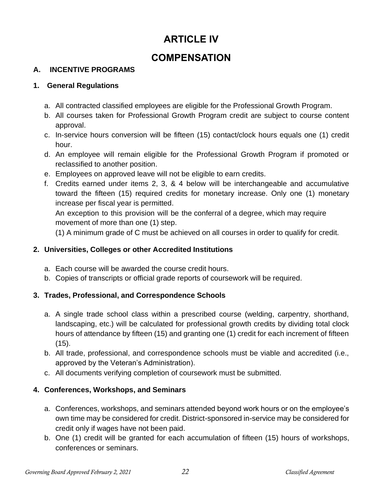# **ARTICLE IV**

# **COMPENSATION**

# **A. INCENTIVE PROGRAMS**

# **1. General Regulations**

- a. All contracted classified employees are eligible for the Professional Growth Program.
- b. All courses taken for Professional Growth Program credit are subject to course content approval.
- c. In-service hours conversion will be fifteen (15) contact/clock hours equals one (1) credit hour.
- d. An employee will remain eligible for the Professional Growth Program if promoted or reclassified to another position.
- e. Employees on approved leave will not be eligible to earn credits.
- f. Credits earned under items 2, 3, & 4 below will be interchangeable and accumulative toward the fifteen (15) required credits for monetary increase. Only one (1) monetary increase per fiscal year is permitted.

An exception to this provision will be the conferral of a degree, which may require movement of more than one (1) step.

(1) A minimum grade of C must be achieved on all courses in order to qualify for credit.

# **2. Universities, Colleges or other Accredited Institutions**

- a. Each course will be awarded the course credit hours.
- b. Copies of transcripts or official grade reports of coursework will be required.

# **3. Trades, Professional, and Correspondence Schools**

- a. A single trade school class within a prescribed course (welding, carpentry, shorthand, landscaping, etc.) will be calculated for professional growth credits by dividing total clock hours of attendance by fifteen (15) and granting one (1) credit for each increment of fifteen (15).
- b. All trade, professional, and correspondence schools must be viable and accredited (i.e., approved by the Veteran's Administration).
- c. All documents verifying completion of coursework must be submitted.

# **4. Conferences, Workshops, and Seminars**

- a. Conferences, workshops, and seminars attended beyond work hours or on the employee's own time may be considered for credit. District-sponsored in-service may be considered for credit only if wages have not been paid.
- b. One (1) credit will be granted for each accumulation of fifteen (15) hours of workshops, conferences or seminars.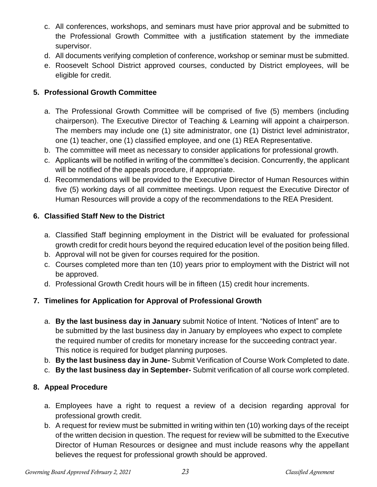- c. All conferences, workshops, and seminars must have prior approval and be submitted to the Professional Growth Committee with a justification statement by the immediate supervisor.
- d. All documents verifying completion of conference, workshop or seminar must be submitted.
- e. Roosevelt School District approved courses, conducted by District employees, will be eligible for credit.

# **5. Professional Growth Committee**

- a. The Professional Growth Committee will be comprised of five (5) members (including chairperson). The Executive Director of Teaching & Learning will appoint a chairperson. The members may include one (1) site administrator, one (1) District level administrator, one (1) teacher, one (1) classified employee, and one (1) REA Representative.
- b. The committee will meet as necessary to consider applications for professional growth.
- c. Applicants will be notified in writing of the committee's decision. Concurrently, the applicant will be notified of the appeals procedure, if appropriate.
- d. Recommendations will be provided to the Executive Director of Human Resources within five (5) working days of all committee meetings. Upon request the Executive Director of Human Resources will provide a copy of the recommendations to the REA President.

# **6. Classified Staff New to the District**

- a. Classified Staff beginning employment in the District will be evaluated for professional growth credit for credit hours beyond the required education level of the position being filled.
- b. Approval will not be given for courses required for the position.
- c. Courses completed more than ten (10) years prior to employment with the District will not be approved.
- d. Professional Growth Credit hours will be in fifteen (15) credit hour increments.

# **7. Timelines for Application for Approval of Professional Growth**

- a. **By the last business day in January** submit Notice of Intent. "Notices of Intent" are to be submitted by the last business day in January by employees who expect to complete the required number of credits for monetary increase for the succeeding contract year. This notice is required for budget planning purposes.
- b. **By the last business day in June-** Submit Verification of Course Work Completed to date.
- c. **By the last business day in September-** Submit verification of all course work completed.

# **8. Appeal Procedure**

- a. Employees have a right to request a review of a decision regarding approval for professional growth credit.
- b. A request for review must be submitted in writing within ten (10) working days of the receipt of the written decision in question. The request for review will be submitted to the Executive Director of Human Resources or designee and must include reasons why the appellant believes the request for professional growth should be approved.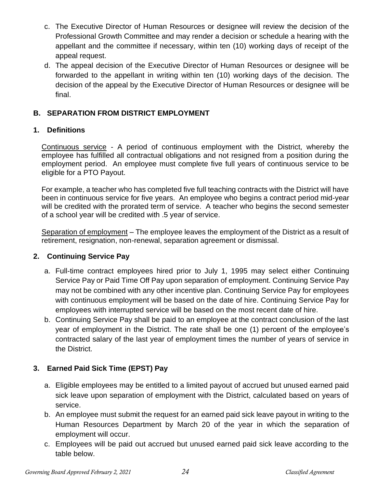- c. The Executive Director of Human Resources or designee will review the decision of the Professional Growth Committee and may render a decision or schedule a hearing with the appellant and the committee if necessary, within ten (10) working days of receipt of the appeal request.
- d. The appeal decision of the Executive Director of Human Resources or designee will be forwarded to the appellant in writing within ten (10) working days of the decision. The decision of the appeal by the Executive Director of Human Resources or designee will be final.

# **B. SEPARATION FROM DISTRICT EMPLOYMENT**

#### **1. Definitions**

Continuous service - A period of continuous employment with the District, whereby the employee has fulfilled all contractual obligations and not resigned from a position during the employment period. An employee must complete five full years of continuous service to be eligible for a PTO Payout.

For example, a teacher who has completed five full teaching contracts with the District will have been in continuous service for five years. An employee who begins a contract period mid-year will be credited with the prorated term of service. A teacher who begins the second semester of a school year will be credited with .5 year of service.

Separation of employment – The employee leaves the employment of the District as a result of retirement, resignation, non-renewal, separation agreement or dismissal.

# **2. Continuing Service Pay**

- a. Full-time contract employees hired prior to July 1, 1995 may select either Continuing Service Pay or Paid Time Off Pay upon separation of employment. Continuing Service Pay may not be combined with any other incentive plan. Continuing Service Pay for employees with continuous employment will be based on the date of hire. Continuing Service Pay for employees with interrupted service will be based on the most recent date of hire.
- b. Continuing Service Pay shall be paid to an employee at the contract conclusion of the last year of employment in the District. The rate shall be one (1) percent of the employee's contracted salary of the last year of employment times the number of years of service in the District.

# **3. Earned Paid Sick Time (EPST) Pay**

- a. Eligible employees may be entitled to a limited payout of accrued but unused earned paid sick leave upon separation of employment with the District, calculated based on years of service.
- b. An employee must submit the request for an earned paid sick leave payout in writing to the Human Resources Department by March 20 of the year in which the separation of employment will occur.
- c. Employees will be paid out accrued but unused earned paid sick leave according to the table below.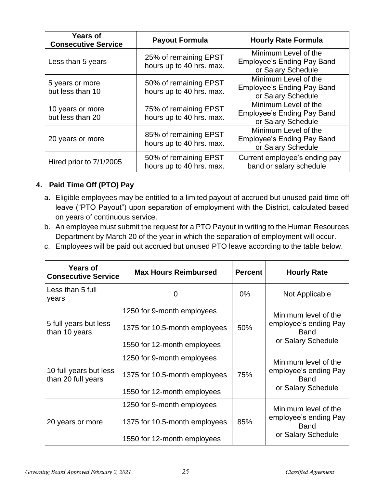| <b>Years of</b><br><b>Consecutive Service</b> | <b>Payout Formula</b>                             | <b>Hourly Rate Formula</b>                                                      |  |
|-----------------------------------------------|---------------------------------------------------|---------------------------------------------------------------------------------|--|
| Less than 5 years                             | 25% of remaining EPST<br>hours up to 40 hrs. max. | Minimum Level of the<br><b>Employee's Ending Pay Band</b><br>or Salary Schedule |  |
| 5 years or more<br>but less than 10           | 50% of remaining EPST<br>hours up to 40 hrs. max. | Minimum Level of the<br><b>Employee's Ending Pay Band</b><br>or Salary Schedule |  |
| 10 years or more<br>but less than 20          | 75% of remaining EPST<br>hours up to 40 hrs. max. | Minimum Level of the<br><b>Employee's Ending Pay Band</b><br>or Salary Schedule |  |
| 20 years or more                              | 85% of remaining EPST<br>hours up to 40 hrs. max. | Minimum Level of the<br><b>Employee's Ending Pay Band</b><br>or Salary Schedule |  |
| Hired prior to 7/1/2005                       | 50% of remaining EPST<br>hours up to 40 hrs. max. | Current employee's ending pay<br>band or salary schedule                        |  |

# **4. Paid Time Off (PTO) Pay**

- a. Eligible employees may be entitled to a limited payout of accrued but unused paid time off leave ("PTO Payout") upon separation of employment with the District, calculated based on years of continuous service.
- b. An employee must submit the request for a PTO Payout in writing to the Human Resources Department by March 20 of the year in which the separation of employment will occur.
- c. Employees will be paid out accrued but unused PTO leave according to the table below.

| <b>Years of</b><br><b>Consecutive Service</b> | <b>Max Hours Reimbursed</b>   | <b>Percent</b> | <b>Hourly Rate</b>                   |  |
|-----------------------------------------------|-------------------------------|----------------|--------------------------------------|--|
| Less than 5 full<br>years                     | 0                             | $0\%$          | Not Applicable                       |  |
|                                               | 1250 for 9-month employees    |                | Minimum level of the                 |  |
| 5 full years but less<br>than 10 years        | 1375 for 10.5-month employees | 50%            | employee's ending Pay<br><b>Band</b> |  |
|                                               | 1550 for 12-month employees   |                | or Salary Schedule                   |  |
|                                               | 1250 for 9-month employees    |                | Minimum level of the                 |  |
| 10 full years but less<br>than 20 full years  | 1375 for 10.5-month employees | 75%            | employee's ending Pay<br><b>Band</b> |  |
|                                               | 1550 for 12-month employees   |                | or Salary Schedule                   |  |
|                                               | 1250 for 9-month employees    |                | Minimum level of the                 |  |
| 20 years or more                              | 1375 for 10.5-month employees | 85%            | employee's ending Pay<br><b>Band</b> |  |
|                                               | 1550 for 12-month employees   |                | or Salary Schedule                   |  |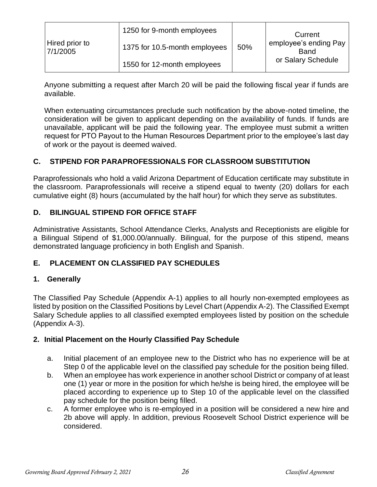|                            | 1250 for 9-month employees    |     | Current                              |
|----------------------------|-------------------------------|-----|--------------------------------------|
| Hired prior to<br>7/1/2005 | 1375 for 10.5-month employees | 50% | employee's ending Pay<br><b>Band</b> |
|                            | 1550 for 12-month employees   |     | or Salary Schedule                   |

Anyone submitting a request after March 20 will be paid the following fiscal year if funds are available.

When extenuating circumstances preclude such notification by the above-noted timeline, the consideration will be given to applicant depending on the availability of funds. If funds are unavailable, applicant will be paid the following year. The employee must submit a written request for PTO Payout to the Human Resources Department prior to the employee's last day of work or the payout is deemed waived.

# **C. STIPEND FOR PARAPROFESSIONALS FOR CLASSROOM SUBSTITUTION**

Paraprofessionals who hold a valid Arizona Department of Education certificate may substitute in the classroom. Paraprofessionals will receive a stipend equal to twenty (20) dollars for each cumulative eight (8) hours (accumulated by the half hour) for which they serve as substitutes.

# **D. BILINGUAL STIPEND FOR OFFICE STAFF**

Administrative Assistants, School Attendance Clerks, Analysts and Receptionists are eligible for a Bilingual Stipend of \$1,000.00/annually. Bilingual, for the purpose of this stipend, means demonstrated language proficiency in both English and Spanish.

#### **E. PLACEMENT ON CLASSIFIED PAY SCHEDULES**

#### **1. Generally**

The Classified Pay Schedule (Appendix A-1) applies to all hourly non-exempted employees as listed by position on the Classified Positions by Level Chart (Appendix A-2). The Classified Exempt Salary Schedule applies to all classified exempted employees listed by position on the schedule (Appendix A-3).

#### **2. Initial Placement on the Hourly Classified Pay Schedule**

- a. Initial placement of an employee new to the District who has no experience will be at Step 0 of the applicable level on the classified pay schedule for the position being filled.
- b. When an employee has work experience in another school District or company of at least one (1) year or more in the position for which he/she is being hired, the employee will be placed according to experience up to Step 10 of the applicable level on the classified pay schedule for the position being filled.
- c. A former employee who is re-employed in a position will be considered a new hire and 2b above will apply. In addition, previous Roosevelt School District experience will be considered.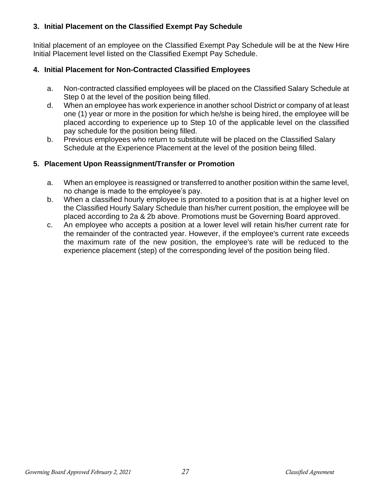# **3. Initial Placement on the Classified Exempt Pay Schedule**

Initial placement of an employee on the Classified Exempt Pay Schedule will be at the New Hire Initial Placement level listed on the Classified Exempt Pay Schedule.

# **4. Initial Placement for Non-Contracted Classified Employees**

- a. Non-contracted classified employees will be placed on the Classified Salary Schedule at Step 0 at the level of the position being filled.
- d. When an employee has work experience in another school District or company of at least one (1) year or more in the position for which he/she is being hired, the employee will be placed according to experience up to Step 10 of the applicable level on the classified pay schedule for the position being filled.
- b. Previous employees who return to substitute will be placed on the Classified Salary Schedule at the Experience Placement at the level of the position being filled.

# **5. Placement Upon Reassignment/Transfer or Promotion**

- a. When an employee is reassigned or transferred to another position within the same level, no change is made to the employee's pay.
- b. When a classified hourly employee is promoted to a position that is at a higher level on the Classified Hourly Salary Schedule than his/her current position, the employee will be placed according to 2a & 2b above. Promotions must be Governing Board approved.
- c. An employee who accepts a position at a lower level will retain his/her current rate for the remainder of the contracted year. However, if the employee's current rate exceeds the maximum rate of the new position, the employee's rate will be reduced to the experience placement (step) of the corresponding level of the position being filed.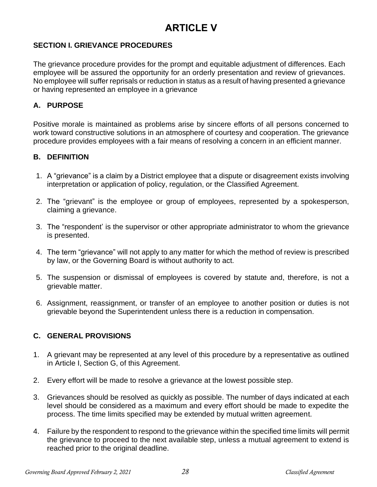# **ARTICLE V**

# **SECTION I. GRIEVANCE PROCEDURES**

The grievance procedure provides for the prompt and equitable adjustment of differences. Each employee will be assured the opportunity for an orderly presentation and review of grievances. No employee will suffer reprisals or reduction in status as a result of having presented a grievance or having represented an employee in a grievance

# **A. PURPOSE**

Positive morale is maintained as problems arise by sincere efforts of all persons concerned to work toward constructive solutions in an atmosphere of courtesy and cooperation. The grievance procedure provides employees with a fair means of resolving a concern in an efficient manner.

#### **B. DEFINITION**

- 1. A "grievance" is a claim by a District employee that a dispute or disagreement exists involving interpretation or application of policy, regulation, or the Classified Agreement.
- 2. The "grievant" is the employee or group of employees, represented by a spokesperson, claiming a grievance.
- 3. The "respondent' is the supervisor or other appropriate administrator to whom the grievance is presented.
- 4. The term "grievance" will not apply to any matter for which the method of review is prescribed by law, or the Governing Board is without authority to act.
- 5. The suspension or dismissal of employees is covered by statute and, therefore, is not a grievable matter.
- 6. Assignment, reassignment, or transfer of an employee to another position or duties is not grievable beyond the Superintendent unless there is a reduction in compensation.

# **C. GENERAL PROVISIONS**

- 1. A grievant may be represented at any level of this procedure by a representative as outlined in Article I, Section G, of this Agreement.
- 2. Every effort will be made to resolve a grievance at the lowest possible step.
- 3. Grievances should be resolved as quickly as possible. The number of days indicated at each level should be considered as a maximum and every effort should be made to expedite the process. The time limits specified may be extended by mutual written agreement.
- 4. Failure by the respondent to respond to the grievance within the specified time limits will permit the grievance to proceed to the next available step, unless a mutual agreement to extend is reached prior to the original deadline.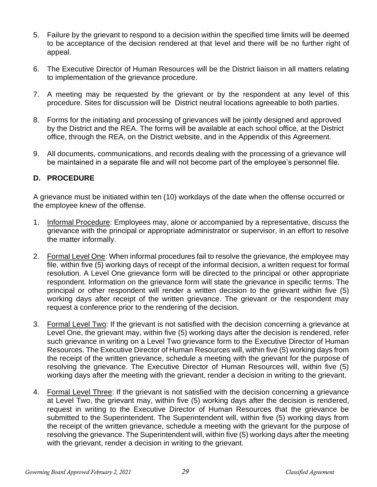- 5. Failure by the grievant to respond to a decision within the specified time limits will be deemed to be acceptance of the decision rendered at that level and there will be no further right of appeal.
- 6. The Executive Director of Human Resources will be the District liaison in all matters relating to implementation of the grievance procedure.
- 7. A meeting may be requested by the grievant or by the respondent at any level of this procedure. Sites for discussion will be District neutral locations agreeable to both parties.
- 8. Forms for the initiating and processing of grievances will be jointly designed and approved by the District and the REA. The forms will be available at each school office, at the District office, through the REA, on the District website, and in the Appendix of this Agreement.
- 9. All documents, communications, and records dealing with the processing of a grievance will be maintained in a separate file and will not become part of the employee's personnel file.

# **D. PROCEDURE**

A grievance must be initiated within ten (10) workdays of the date when the offense occurred or the employee knew of the offense.

- 1. Informal Procedure: Employees may, alone or accompanied by a representative, discuss the grievance with the principal or appropriate administrator or supervisor, in an effort to resolve the matter informally.
- 2. Formal Level One: When informal procedures fail to resolve the grievance, the employee may file, within five (5) working days of receipt of the informal decision, a written request for formal resolution. A Level One grievance form will be directed to the principal or other appropriate respondent. Information on the grievance form will state the grievance in specific terms. The principal or other respondent will render a written decision to the grievant within five (5) working days after receipt of the written grievance. The grievant or the respondent may request a conference prior to the rendering of the decision.
- 3. Formal Level Two: If the grievant is not satisfied with the decision concerning a grievance at Level One, the grievant may, within five (5) working days after the decision is rendered, refer such grievance in writing on a Level Two grievance form to the Executive Director of Human Resources. The Executive Director of Human Resources will, within five (5) working days from the receipt of the written grievance, schedule a meeting with the grievant for the purpose of resolving the grievance. The Executive Director of Human Resources will, within five (5) working days after the meeting with the grievant, render a decision in writing to the grievant.
- 4. Formal Level Three: If the grievant is not satisfied with the decision concerning a grievance at Level Two, the grievant may, within five (5) working days after the decision is rendered, request in writing to the Executive Director of Human Resources that the grievance be submitted to the Superintendent. The Superintendent will, within five (5) working days from the receipt of the written grievance, schedule a meeting with the grievant for the purpose of resolving the grievance. The Superintendent will, within five (5) working days after the meeting with the grievant, render a decision in writing to the grievant.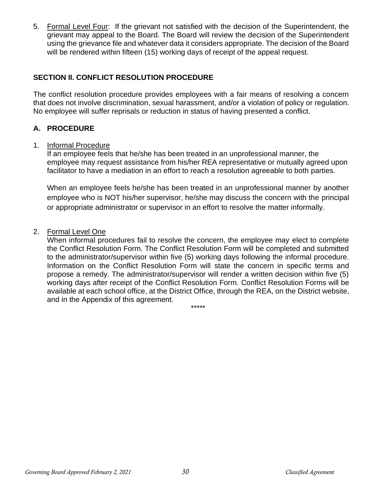5. Formal Level Four: If the grievant not satisfied with the decision of the Superintendent, the grievant may appeal to the Board. The Board will review the decision of the Superintendent using the grievance file and whatever data it considers appropriate. The decision of the Board will be rendered within fifteen (15) working days of receipt of the appeal request.

# **SECTION II. CONFLICT RESOLUTION PROCEDURE**

The conflict resolution procedure provides employees with a fair means of resolving a concern that does not involve discrimination, sexual harassment, and/or a violation of policy or regulation. No employee will suffer reprisals or reduction in status of having presented a conflict.

#### **A. PROCEDURE**

#### 1. Informal Procedure

If an employee feels that he/she has been treated in an unprofessional manner, the employee may request assistance from his/her REA representative or mutually agreed upon facilitator to have a mediation in an effort to reach a resolution agreeable to both parties.

When an employee feels he/she has been treated in an unprofessional manner by another employee who is NOT his/her supervisor, he/she may discuss the concern with the principal or appropriate administrator or supervisor in an effort to resolve the matter informally.

#### 2. Formal Level One

When informal procedures fail to resolve the concern, the employee may elect to complete the Conflict Resolution Form. The Conflict Resolution Form will be completed and submitted to the administrator/supervisor within five (5) working days following the informal procedure. Information on the Conflict Resolution Form will state the concern in specific terms and propose a remedy. The administrator/supervisor will render a written decision within five (5) working days after receipt of the Conflict Resolution Form. Conflict Resolution Forms will be available at each school office, at the District Office, through the REA, on the District website, and in the Appendix of this agreement.

\*\*\*\*\*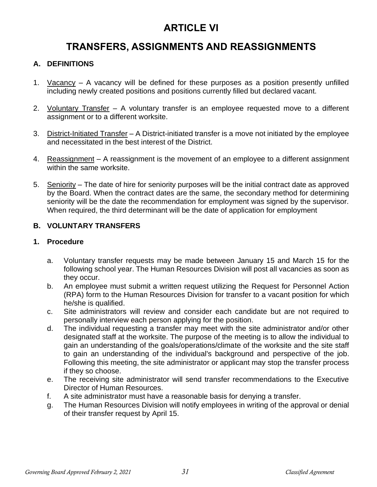# **ARTICLE VI**

# **TRANSFERS, ASSIGNMENTS AND REASSIGNMENTS**

# **A. DEFINITIONS**

- 1. Vacancy A vacancy will be defined for these purposes as a position presently unfilled including newly created positions and positions currently filled but declared vacant.
- 2. Voluntary Transfer A voluntary transfer is an employee requested move to a different assignment or to a different worksite.
- 3. District-Initiated Transfer A District-initiated transfer is a move not initiated by the employee and necessitated in the best interest of the District.
- 4. Reassignment A reassignment is the movement of an employee to a different assignment within the same worksite.
- 5. Seniority The date of hire for seniority purposes will be the initial contract date as approved by the Board. When the contract dates are the same, the secondary method for determining seniority will be the date the recommendation for employment was signed by the supervisor. When required, the third determinant will be the date of application for employment

# **B. VOLUNTARY TRANSFERS**

#### **1. Procedure**

- a. Voluntary transfer requests may be made between January 15 and March 15 for the following school year. The Human Resources Division will post all vacancies as soon as they occur.
- b. An employee must submit a written request utilizing the Request for Personnel Action (RPA) form to the Human Resources Division for transfer to a vacant position for which he/she is qualified.
- c. Site administrators will review and consider each candidate but are not required to personally interview each person applying for the position.
- d. The individual requesting a transfer may meet with the site administrator and/or other designated staff at the worksite. The purpose of the meeting is to allow the individual to gain an understanding of the goals/operations/climate of the worksite and the site staff to gain an understanding of the individual's background and perspective of the job. Following this meeting, the site administrator or applicant may stop the transfer process if they so choose.
- e. The receiving site administrator will send transfer recommendations to the Executive Director of Human Resources.
- f. A site administrator must have a reasonable basis for denying a transfer.
- g. The Human Resources Division will notify employees in writing of the approval or denial of their transfer request by April 15.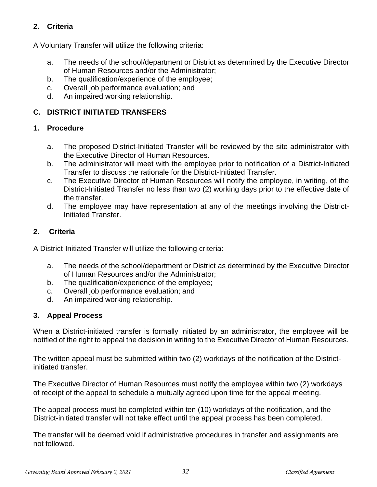# **2. Criteria**

A Voluntary Transfer will utilize the following criteria:

- a. The needs of the school/department or District as determined by the Executive Director of Human Resources and/or the Administrator;
- b. The qualification/experience of the employee;
- c. Overall job performance evaluation; and
- d. An impaired working relationship.

# **C. DISTRICT INITIATED TRANSFERS**

# **1. Procedure**

- a. The proposed District-Initiated Transfer will be reviewed by the site administrator with the Executive Director of Human Resources.
- b. The administrator will meet with the employee prior to notification of a District-Initiated Transfer to discuss the rationale for the District-Initiated Transfer.
- c. The Executive Director of Human Resources will notify the employee, in writing, of the District-Initiated Transfer no less than two (2) working days prior to the effective date of the transfer.
- d. The employee may have representation at any of the meetings involving the District-Initiated Transfer.

# **2. Criteria**

A District-Initiated Transfer will utilize the following criteria:

- a. The needs of the school/department or District as determined by the Executive Director of Human Resources and/or the Administrator;
- b. The qualification/experience of the employee;
- c. Overall job performance evaluation; and
- d. An impaired working relationship.

# **3. Appeal Process**

When a District-initiated transfer is formally initiated by an administrator, the employee will be notified of the right to appeal the decision in writing to the Executive Director of Human Resources.

The written appeal must be submitted within two (2) workdays of the notification of the Districtinitiated transfer.

The Executive Director of Human Resources must notify the employee within two (2) workdays of receipt of the appeal to schedule a mutually agreed upon time for the appeal meeting.

The appeal process must be completed within ten (10) workdays of the notification, and the District-initiated transfer will not take effect until the appeal process has been completed.

The transfer will be deemed void if administrative procedures in transfer and assignments are not followed.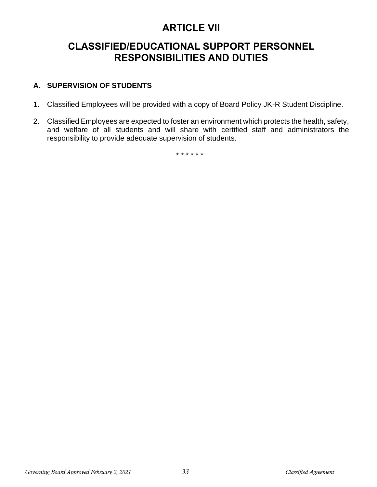# **ARTICLE VII**

# **CLASSIFIED/EDUCATIONAL SUPPORT PERSONNEL RESPONSIBILITIES AND DUTIES**

# **A. SUPERVISION OF STUDENTS**

- 1. Classified Employees will be provided with a copy of Board Policy JK-R Student Discipline.
- 2. Classified Employees are expected to foster an environment which protects the health, safety, and welfare of all students and will share with certified staff and administrators the responsibility to provide adequate supervision of students.

\* \* \* \* \* \*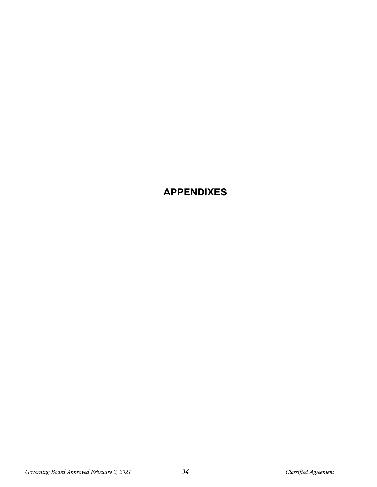# **APPENDIXES**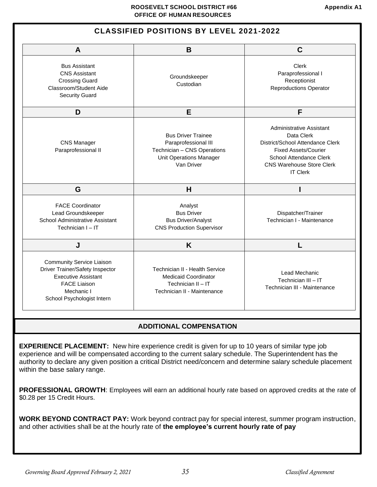#### **CLASSIFIED POSITIONS BY LEVEL 2021-2022**

| A                                                                                                                                                                             | B                                                                                                                  | $\mathbf C$                                                                                                                                                                                        |  |  |
|-------------------------------------------------------------------------------------------------------------------------------------------------------------------------------|--------------------------------------------------------------------------------------------------------------------|----------------------------------------------------------------------------------------------------------------------------------------------------------------------------------------------------|--|--|
| <b>Bus Assistant</b><br><b>CNS Assistant</b><br>Groundskeeper<br><b>Crossing Guard</b><br>Custodian<br>Classroom/Student Aide<br><b>Security Guard</b>                        |                                                                                                                    | Clerk<br>Paraprofessional I<br>Receptionist<br><b>Reproductions Operator</b>                                                                                                                       |  |  |
| D                                                                                                                                                                             | E                                                                                                                  | F                                                                                                                                                                                                  |  |  |
| <b>Bus Driver Trainee</b><br><b>CNS Manager</b><br>Paraprofessional III<br>Paraprofessional II<br>Technician - CNS Operations<br><b>Unit Operations Manager</b><br>Van Driver |                                                                                                                    | <b>Administrative Assistant</b><br>Data Clerk<br>District/School Attendance Clerk<br><b>Fixed Assets/Courier</b><br>School Attendance Clerk<br><b>CNS Warehouse Store Clerk</b><br><b>IT Clerk</b> |  |  |
| G                                                                                                                                                                             | H                                                                                                                  |                                                                                                                                                                                                    |  |  |
| <b>FACE Coordinator</b><br>Lead Groundskeeper<br>School Administrative Assistant<br>Technician I - IT                                                                         | Analyst<br><b>Bus Driver</b><br><b>Bus Driver/Analyst</b><br><b>CNS Production Supervisor</b>                      | Dispatcher/Trainer<br>Technician I - Maintenance                                                                                                                                                   |  |  |
| J                                                                                                                                                                             | K                                                                                                                  |                                                                                                                                                                                                    |  |  |
| <b>Community Service Liaison</b><br>Driver Trainer/Safety Inspector<br><b>Executive Assistant</b><br><b>FACE Liaison</b><br>Mechanic I<br>School Psychologist Intern          | Technician II - Health Service<br><b>Medicaid Coordinator</b><br>Technician II - IT<br>Technician II - Maintenance | Lead Mechanic<br>Technician III - IT<br>Technician III - Maintenance                                                                                                                               |  |  |

#### **ADDITIONAL COMPENSATION**

**EXPERIENCE PLACEMENT:** New hire experience credit is given for up to 10 years of similar type job experience and will be compensated according to the current salary schedule. The Superintendent has the authority to declare any given position a critical District need/concern and determine salary schedule placement within the base salary range.

**PROFESSIONAL GROWTH**: Employees will earn an additional hourly rate based on approved credits at the rate of \$0.28 per 15 Credit Hours.

**WORK BEYOND CONTRACT PAY:** Work beyond contract pay for special interest, summer program instruction, and other activities shall be at the hourly rate of **the employee's current hourly rate of pay**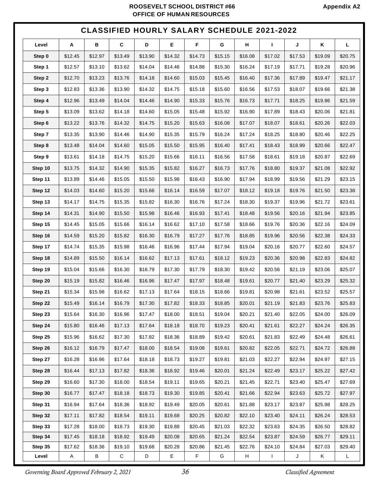#### **ROOSEVELT SCHOOL DISTRICT #66** Appendix A2  **OFFICE OF HUMAN RESOURCES**

# **CLASSIFIED HOURLY SALARY SCHEDULE 2021-2022**

| Level   | Α            | В       | C         | D       | Е       | F       | G       | н       | $\mathbf{I}$ | J       | Κ       | L.      |
|---------|--------------|---------|-----------|---------|---------|---------|---------|---------|--------------|---------|---------|---------|
| Step 0  | \$12.45      | \$12.97 | \$13.49   | \$13.90 | \$14.32 | \$14.73 | \$15.15 | \$16.08 | \$17.02      | \$17.53 | \$19.09 | \$20.75 |
| Step 1  | \$12.57      | \$13.10 | \$13.62   | \$14.04 | \$14.46 | \$14.88 | \$15.30 | \$16.24 | \$17.19      | \$17.71 | \$19.28 | \$20.96 |
| Step 2  | \$12.70      | \$13.23 | \$13.76   | \$14.18 | \$14.60 | \$15.03 | \$15.45 | \$16.40 | \$17.36      | \$17.89 | \$19.47 | \$21.17 |
| Step 3  | \$12.83      | \$13.36 | \$13.90   | \$14.32 | \$14.75 | \$15.18 | \$15.60 | \$16.56 | \$17.53      | \$18.07 | \$19.66 | \$21.38 |
| Step 4  | \$12.96      | \$13.49 | \$14.04   | \$14.46 | \$14.90 | \$15.33 | \$15.76 | \$16.73 | \$17.71      | \$18.25 | \$19.86 | \$21.59 |
| Step 5  | \$13.09      | \$13.62 | \$14.18   | \$14.60 | \$15.05 | \$15.48 | \$15.92 | \$16.90 | \$17.89      | \$18.43 | \$20.06 | \$21.81 |
| Step 6  | \$13.22      | \$13.76 | \$14.32   | \$14.75 | \$15.20 | \$15.63 | \$16.08 | \$17.07 | \$18.07      | \$18.61 | \$20.26 | \$22.03 |
| Step 7  | \$13.35      | \$13.90 | \$14.46   | \$14.90 | \$15.35 | \$15.79 | \$16.24 | \$17.24 | \$18.25      | \$18.80 | \$20.46 | \$22.25 |
| Step 8  | \$13.48      | \$14.04 | \$14.60   | \$15.05 | \$15.50 | \$15.95 | \$16.40 | \$17.41 | \$18.43      | \$18.99 | \$20.66 | \$22.47 |
| Step 9  | \$13.61      | \$14.18 | \$14.75   | \$15.20 | \$15.66 | \$16.11 | \$16.56 | \$17.58 | \$18.61      | \$19.18 | \$20.87 | \$22.69 |
| Step 10 | \$13.75      | \$14.32 | \$14.90   | \$15.35 | \$15.82 | \$16.27 | \$16.73 | \$17.76 | \$18.80      | \$19.37 | \$21.08 | \$22.92 |
| Step 11 | \$13.89      | \$14.46 | \$15.05   | \$15.50 | \$15.98 | \$16.43 | \$16.90 | \$17.94 | \$18.99      | \$19.56 | \$21.29 | \$23.15 |
| Step 12 | \$14.03      | \$14.60 | \$15.20   | \$15.66 | \$16.14 | \$16.59 | \$17.07 | \$18.12 | \$19.18      | \$19.76 | \$21.50 | \$23.38 |
| Step 13 | \$14.17      | \$14.75 | \$15.35   | \$15.82 | \$16.30 | \$16.76 | \$17.24 | \$18.30 | \$19.37      | \$19.96 | \$21.72 | \$23.61 |
| Step 14 | \$14.31      | \$14.90 | \$15.50   | \$15.98 | \$16.46 | \$16.93 | \$17.41 | \$18.48 | \$19.56      | \$20.16 | \$21.94 | \$23.85 |
| Step 15 | \$14.45      | \$15.05 | \$15.66   | \$16.14 | \$16.62 | \$17.10 | \$17.58 | \$18.66 | \$19.76      | \$20.36 | \$22.16 | \$24.09 |
| Step 16 | \$14.59      | \$15.20 | \$15.82   | \$16.30 | \$16.79 | \$17.27 | \$17.76 | \$18.85 | \$19.96      | \$20.56 | \$22.38 | \$24.33 |
| Step 17 | \$14.74      | \$15.35 | \$15.98   | \$16.46 | \$16.96 | \$17.44 | \$17.94 | \$19.04 | \$20.16      | \$20.77 | \$22.60 | \$24.57 |
| Step 18 | \$14.89      | \$15.50 | \$16.14   | \$16.62 | \$17.13 | \$17.61 | \$18.12 | \$19.23 | \$20.36      | \$20.98 | \$22.83 | \$24.82 |
| Step 19 | \$15.04      | \$15.66 | \$16.30   | \$16.79 | \$17.30 | \$17.79 | \$18.30 | \$19.42 | \$20.56      | \$21.19 | \$23.06 | \$25.07 |
| Step 20 | \$15.19      | \$15.82 | \$16.46   | \$16.96 | \$17.47 | \$17.97 | \$18.48 | \$19.61 | \$20.77      | \$21.40 | \$23.29 | \$25.32 |
| Step 21 | \$15.34      | \$15.98 | \$16.62   | \$17.13 | \$17.64 | \$18.15 | \$18.66 | \$19.81 | \$20.98      | \$21.61 | \$23.52 | \$25.57 |
| Step 22 | \$15.49      | \$16.14 | \$16.79   | \$17.30 | \$17.82 | \$18.33 | \$18.85 | \$20.01 | \$21.19      | \$21.83 | \$23.76 | \$25.83 |
| Step 23 | \$15.64      | \$16.30 | \$16.96   | \$17.47 | \$18.00 | \$18.51 | \$19.04 | \$20.21 | \$21.40      | \$22.05 | \$24.00 | \$26.09 |
| Step 24 | \$15.80      | \$16.46 | \$17.13   | \$17.64 | \$18.18 | \$18.70 | \$19.23 | \$20.41 | \$21.61      | \$22.27 | \$24.24 | \$26.35 |
| Step 25 | \$15.96      | \$16.62 | \$17.30   | \$17.82 | \$18.36 | \$18.89 | \$19.42 | \$20.61 | \$21.83      | \$22.49 | \$24.48 | \$26.61 |
| Step 26 | \$16.12      | \$16.79 | \$17.47   | \$18.00 | \$18.54 | \$19.08 | \$19.61 | \$20.82 | \$22.05      | \$22.71 | \$24.72 | \$26.88 |
| Step 27 | \$16.28      | \$16.96 | \$17.64   | \$18.18 | \$18.73 | \$19.27 | \$19.81 | \$21.03 | \$22.27      | \$22.94 | \$24.97 | \$27.15 |
| Step 28 | \$16.44      | \$17.13 | \$17.82   | \$18.36 | \$18.92 | \$19.46 | \$20.01 | \$21.24 | \$22.49      | \$23.17 | \$25.22 | \$27.42 |
| Step 29 | \$16.60      | \$17.30 | \$18.00   | \$18.54 | \$19.11 | \$19.65 | \$20.21 | \$21.45 | \$22.71      | \$23.40 | \$25.47 | \$27.69 |
| Step 30 | \$16.77      | \$17.47 | \$18.18   | \$18.73 | \$19.30 | \$19.85 | \$20.41 | \$21.66 | \$22.94      | \$23.63 | \$25.72 | \$27.97 |
| Step 31 | \$16.94      | \$17.64 | \$18.36   | \$18.92 | \$19.49 | \$20.05 | \$20.61 | \$21.88 | \$23.17      | \$23.87 | \$25.98 | \$28.25 |
| Step 32 | \$17.11      | \$17.82 | \$18.54   | \$19.11 | \$19.68 | \$20.25 | \$20.82 | \$22.10 | \$23.40      | \$24.11 | \$26.24 | \$28.53 |
| Step 33 | \$17.28      | \$18.00 | \$18.73   | \$19.30 | \$19.88 | \$20.45 | \$21.03 | \$22.32 | \$23.63      | \$24.35 | \$26.50 | \$28.82 |
| Step 34 | \$17.45      | \$18.18 | \$18.92   | \$19.49 | \$20.08 | \$20.65 | \$21.24 | \$22.54 | \$23.87      | \$24.59 | \$26.77 | \$29.11 |
| Step 35 | \$17.62      | \$18.36 | \$19.10   | \$19.68 | \$20.28 | \$20.86 | \$21.45 | \$22.76 | \$24.10      | \$24.84 | \$27.03 | \$29.40 |
| Level   | $\mathsf{A}$ | Β       | ${\bf C}$ | D       | E       | F.      | G       | H       | $\mathbf{I}$ | J       | Κ       | L       |

*Governing Board Approved February 2, 2021 36 Classified Agreement*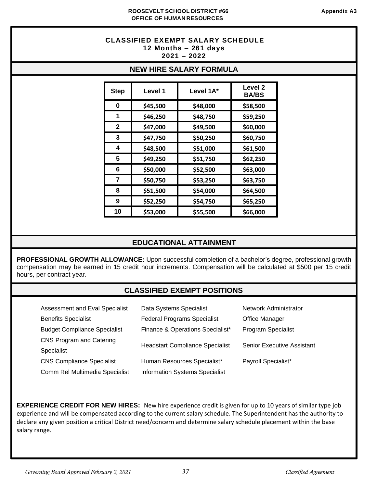#### **CLASSIFIED EXEMPT SALARY SCHEDULE 12 Months – 261 days 2021 – 2022**

#### **NEW HIRE SALARY FORMULA**

| <b>Step</b>  | Level 1  | Level 1A* | <b>Level 2</b><br><b>BA/BS</b> |
|--------------|----------|-----------|--------------------------------|
| 0            | \$45,500 | \$48,000  | \$58,500                       |
| 1            | \$46,250 | \$48,750  | \$59,250                       |
| $\mathbf{2}$ | \$47,000 | \$49,500  | \$60,000                       |
| 3            | \$47,750 | \$50,250  | \$60,750                       |
| 4            | \$48,500 | \$51,000  | \$61,500                       |
| 5            | \$49,250 | \$51,750  | \$62,250                       |
| 6            | \$50,000 | \$52,500  | \$63,000                       |
| 7            | \$50,750 | \$53,250  | \$63,750                       |
| 8            | \$51,500 | \$54,000  | \$64,500                       |
| 9            | \$52,250 | \$54,750  | \$65,250                       |
| 10           | \$53,000 | \$55,500  | \$66,000                       |

#### **EDUCATIONAL ATTAINMENT**

**PROFESSIONAL GROWTH ALLOWANCE:** Upon successful completion of a bachelor's degree, professional growth compensation may be earned in 15 credit hour increments. Compensation will be calculated at \$500 per 15 credit hours, per contract year.

# **CLASSIFIED EXEMPT POSITIONS**

| Assessment and Eval Specialist      | Data Systems Specialist                | <b>Network Administrator</b>      |
|-------------------------------------|----------------------------------------|-----------------------------------|
| <b>Benefits Specialist</b>          | <b>Federal Programs Specialist</b>     | <b>Office Manager</b>             |
| <b>Budget Compliance Specialist</b> | Finance & Operations Specialist*       | <b>Program Specialist</b>         |
| <b>CNS Program and Catering</b>     | <b>Headstart Compliance Specialist</b> | <b>Senior Executive Assistant</b> |
| Specialist                          |                                        |                                   |
| <b>CNS Compliance Specialist</b>    | Human Resources Specialist*            | Payroll Specialist*               |
| Comm Rel Multimedia Specialist      | <b>Information Systems Specialist</b>  |                                   |

**EXPERIENCE CREDIT FOR NEW HIRES:** New hire experience credit is given for up to 10 years of similar type job experience and will be compensated according to the current salary schedule. The Superintendent has the authority to declare any given position a critical District need/concern and determine salary schedule placement within the base salary range.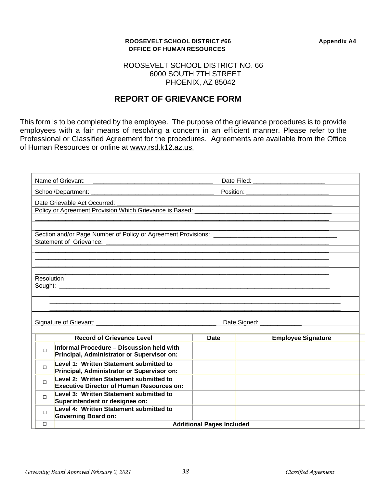#### **ROOSEVELT SCHOOL DISTRICT #66 Appendix A4 OFFICE OF HUMAN RESOURCES**

#### ROOSEVELT SCHOOL DISTRICT NO. 66 6000 SOUTH 7TH STREET PHOENIX, AZ 85042

# **REPORT OF GRIEVANCE FORM**

This form is to be completed by the employee. The purpose of the grievance procedures is to provide employees with a fair means of resolving a concern in an efficient manner. Please refer to the Professional or Classified Agreement for the procedures. Agreements are available from the Office of Human Resources or online at www.rsd.k12.az.us.

|                              | Name of Grievant:<br>Date Filed: The Contract of the Contract of the Contract of the Contract of the Contract of the Contract of the Contract of the Contract of the Contract of the Contract of the Contract of the Contract of the Contract of th<br><u> 1980 - Johann Barn, mars ann an t-Amhainn an t-Amhainn an t-Amhainn an t-Amhainn an t-Amhainn an t-Amhainn an </u> |             |                           |  |  |
|------------------------------|-------------------------------------------------------------------------------------------------------------------------------------------------------------------------------------------------------------------------------------------------------------------------------------------------------------------------------------------------------------------------------|-------------|---------------------------|--|--|
|                              | School/Department:                                                                                                                                                                                                                                                                                                                                                            | Position:   |                           |  |  |
|                              | Date Grievable Act Occurred:<br>Policy or Agreement Provision Which Grievance is Based: _____                                                                                                                                                                                                                                                                                 |             |                           |  |  |
|                              | Section and/or Page Number of Policy or Agreement Provisions: ____<br><b>Statement of Grievance:</b>                                                                                                                                                                                                                                                                          |             |                           |  |  |
| <b>Resolution</b><br>Sought: |                                                                                                                                                                                                                                                                                                                                                                               |             |                           |  |  |
| Date Signed: ______________  |                                                                                                                                                                                                                                                                                                                                                                               |             |                           |  |  |
|                              |                                                                                                                                                                                                                                                                                                                                                                               |             |                           |  |  |
|                              | <b>Record of Grievance Level</b>                                                                                                                                                                                                                                                                                                                                              | <b>Date</b> | <b>Employee Signature</b> |  |  |
| П                            | Informal Procedure - Discussion held with<br>Principal, Administrator or Supervisor on:                                                                                                                                                                                                                                                                                       |             |                           |  |  |
| $\Box$                       | Level 1: Written Statement submitted to<br>Principal, Administrator or Supervisor on:                                                                                                                                                                                                                                                                                         |             |                           |  |  |
| $\Box$                       | Level 2: Written Statement submitted to<br><b>Executive Director of Human Resources on:</b>                                                                                                                                                                                                                                                                                   |             |                           |  |  |
| $\Box$                       | Level 3: Written Statement submitted to<br>Superintendent or designee on:                                                                                                                                                                                                                                                                                                     |             |                           |  |  |
| $\Box$                       | Level 4: Written Statement submitted to<br><b>Governing Board on:</b>                                                                                                                                                                                                                                                                                                         |             |                           |  |  |